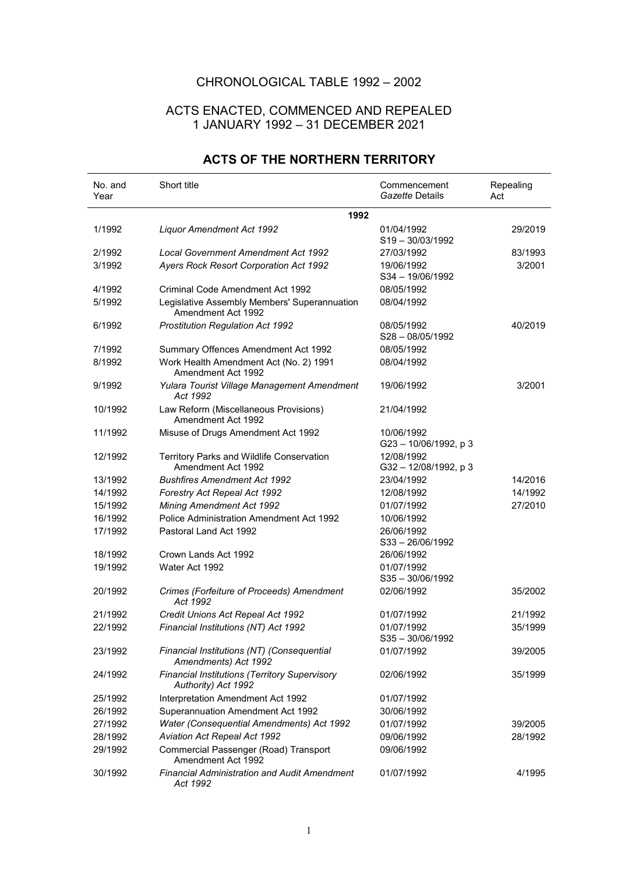## CHRONOLOGICAL TABLE 1992 – 2002

## ACTS ENACTED, COMMENCED AND REPEALED 1 JANUARY 1992 – 31 DECEMBER 2021

| No. and<br>Year | Short title                                                                 | Commencement<br>Gazette Details   | Repealing<br>Act |
|-----------------|-----------------------------------------------------------------------------|-----------------------------------|------------------|
|                 | 1992                                                                        |                                   |                  |
| 1/1992          | <b>Liquor Amendment Act 1992</b>                                            | 01/04/1992<br>$S19 - 30/03/1992$  | 29/2019          |
| 2/1992          | <b>Local Government Amendment Act 1992</b>                                  | 27/03/1992                        | 83/1993          |
| 3/1992          | Ayers Rock Resort Corporation Act 1992                                      | 19/06/1992<br>S34-19/06/1992      | 3/2001           |
| 4/1992          | <b>Criminal Code Amendment Act 1992</b>                                     | 08/05/1992                        |                  |
| 5/1992          | Legislative Assembly Members' Superannuation<br>Amendment Act 1992          | 08/04/1992                        |                  |
| 6/1992          | Prostitution Regulation Act 1992                                            | 08/05/1992<br>$S28 - 08/05/1992$  | 40/2019          |
| 7/1992          | Summary Offences Amendment Act 1992                                         | 08/05/1992                        |                  |
| 8/1992          | Work Health Amendment Act (No. 2) 1991<br>Amendment Act 1992                | 08/04/1992                        |                  |
| 9/1992          | Yulara Tourist Village Management Amendment<br>Act 1992                     | 19/06/1992                        | 3/2001           |
| 10/1992         | Law Reform (Miscellaneous Provisions)<br>Amendment Act 1992                 | 21/04/1992                        |                  |
| 11/1992         | Misuse of Drugs Amendment Act 1992                                          | 10/06/1992<br>G23-10/06/1992, p3  |                  |
| 12/1992         | Territory Parks and Wildlife Conservation<br>Amendment Act 1992             | 12/08/1992<br>G32-12/08/1992, p 3 |                  |
| 13/1992         | <b>Bushfires Amendment Act 1992</b>                                         | 23/04/1992                        | 14/2016          |
| 14/1992         | Forestry Act Repeal Act 1992                                                | 12/08/1992                        | 14/1992          |
| 15/1992         | <b>Mining Amendment Act 1992</b>                                            | 01/07/1992                        | 27/2010          |
| 16/1992         | Police Administration Amendment Act 1992                                    | 10/06/1992                        |                  |
| 17/1992         | Pastoral Land Act 1992                                                      | 26/06/1992<br>S33-26/06/1992      |                  |
| 18/1992         | Crown Lands Act 1992                                                        | 26/06/1992                        |                  |
| 19/1992         | Water Act 1992                                                              | 01/07/1992<br>$S35 - 30/06/1992$  |                  |
| 20/1992         | Crimes (Forfeiture of Proceeds) Amendment<br>Act 1992                       | 02/06/1992                        | 35/2002          |
| 21/1992         | Credit Unions Act Repeal Act 1992                                           | 01/07/1992                        | 21/1992          |
| 22/1992         | Financial Institutions (NT) Act 1992                                        | 01/07/1992<br>$S35 - 30/06/1992$  | 35/1999          |
| 23/1992         | Financial Institutions (NT) (Consequential<br>Amendments) Act 1992          | 01/07/1992                        | 39/2005          |
| 24/1992         | <b>Financial Institutions (Territory Supervisory</b><br>Authority) Act 1992 | 02/06/1992                        | 35/1999          |
| 25/1992         | Interpretation Amendment Act 1992                                           | 01/07/1992                        |                  |
| 26/1992         | Superannuation Amendment Act 1992                                           | 30/06/1992                        |                  |
| 27/1992         | Water (Consequential Amendments) Act 1992                                   | 01/07/1992                        | 39/2005          |
| 28/1992         | Aviation Act Repeal Act 1992                                                | 09/06/1992                        | 28/1992          |
| 29/1992         | Commercial Passenger (Road) Transport<br>Amendment Act 1992                 | 09/06/1992                        |                  |
| 30/1992         | <b>Financial Administration and Audit Amendment</b><br>Act 1992             | 01/07/1992                        | 4/1995           |

## **ACTS OF THE NORTHERN TERRITORY**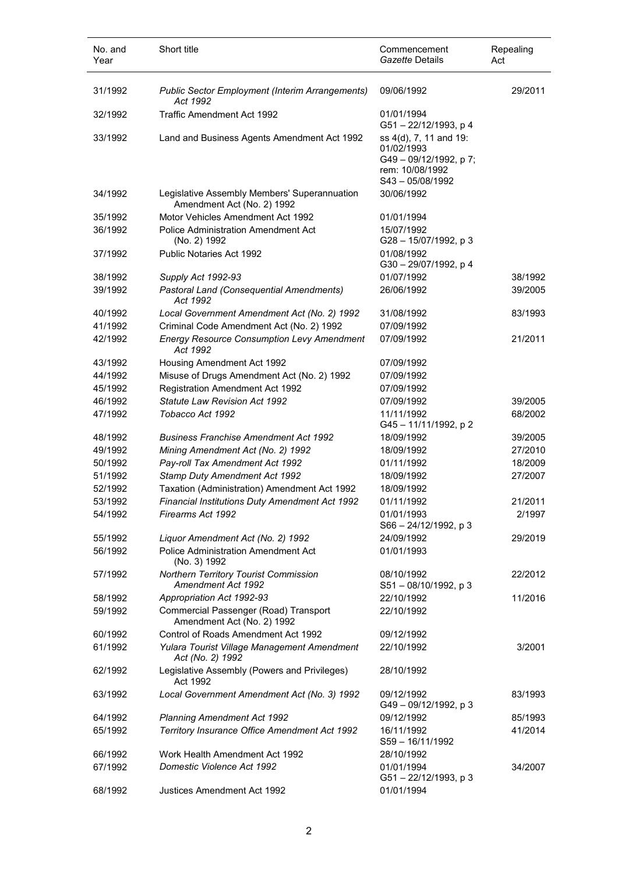| No. and<br>Year | Short title                                                                | Commencement<br>Gazette Details                                                                         | Repealing<br>Act |
|-----------------|----------------------------------------------------------------------------|---------------------------------------------------------------------------------------------------------|------------------|
| 31/1992         | <b>Public Sector Employment (Interim Arrangements)</b><br>Act 1992         | 09/06/1992                                                                                              | 29/2011          |
| 32/1992         | Traffic Amendment Act 1992                                                 | 01/01/1994<br>G51-22/12/1993, p 4                                                                       |                  |
| 33/1992         | Land and Business Agents Amendment Act 1992                                | ss 4(d), 7, 11 and 19:<br>01/02/1993<br>G49 - 09/12/1992, p 7;<br>rem: 10/08/1992<br>$S43 - 05/08/1992$ |                  |
| 34/1992         | Legislative Assembly Members' Superannuation<br>Amendment Act (No. 2) 1992 | 30/06/1992                                                                                              |                  |
| 35/1992         | Motor Vehicles Amendment Act 1992                                          | 01/01/1994                                                                                              |                  |
| 36/1992         | <b>Police Administration Amendment Act</b><br>(No. 2) 1992                 | 15/07/1992<br>G28-15/07/1992, p 3                                                                       |                  |
| 37/1992         | Public Notaries Act 1992                                                   | 01/08/1992<br>G30-29/07/1992, p 4                                                                       |                  |
| 38/1992         | Supply Act 1992-93                                                         | 01/07/1992                                                                                              | 38/1992          |
| 39/1992         | <b>Pastoral Land (Consequential Amendments)</b>                            | 26/06/1992                                                                                              | 39/2005          |
|                 | Act 1992                                                                   |                                                                                                         |                  |
| 40/1992         | Local Government Amendment Act (No. 2) 1992                                | 31/08/1992                                                                                              | 83/1993          |
| 41/1992         | Criminal Code Amendment Act (No. 2) 1992                                   | 07/09/1992                                                                                              |                  |
| 42/1992         | <b>Energy Resource Consumption Levy Amendment</b><br>Act 1992              | 07/09/1992                                                                                              | 21/2011          |
| 43/1992         | Housing Amendment Act 1992                                                 | 07/09/1992                                                                                              |                  |
| 44/1992         | Misuse of Drugs Amendment Act (No. 2) 1992                                 | 07/09/1992                                                                                              |                  |
| 45/1992         | <b>Registration Amendment Act 1992</b>                                     | 07/09/1992                                                                                              |                  |
| 46/1992         | <b>Statute Law Revision Act 1992</b>                                       | 07/09/1992                                                                                              | 39/2005          |
| 47/1992         | Tobacco Act 1992                                                           | 11/11/1992<br>G45-11/11/1992, p 2                                                                       | 68/2002          |
| 48/1992         | <b>Business Franchise Amendment Act 1992</b>                               | 18/09/1992                                                                                              | 39/2005          |
| 49/1992         | Mining Amendment Act (No. 2) 1992                                          | 18/09/1992                                                                                              | 27/2010          |
| 50/1992         | Pay-roll Tax Amendment Act 1992                                            | 01/11/1992                                                                                              | 18/2009          |
| 51/1992         | Stamp Duty Amendment Act 1992                                              | 18/09/1992                                                                                              | 27/2007          |
| 52/1992         | Taxation (Administration) Amendment Act 1992                               | 18/09/1992                                                                                              |                  |
| 53/1992         | <b>Financial Institutions Duty Amendment Act 1992</b>                      | 01/11/1992                                                                                              | 21/2011          |
| 54/1992         | Firearms Act 1992                                                          | 01/01/1993<br>S66 - 24/12/1992, p 3                                                                     | 2/1997           |
| 55/1992         | Liquor Amendment Act (No. 2) 1992                                          | 24/09/1992                                                                                              | 29/2019          |
| 56/1992         | <b>Police Administration Amendment Act</b><br>(No. 3) 1992                 | 01/01/1993                                                                                              |                  |
| 57/1992         | Northern Territory Tourist Commission<br>Amendment Act 1992                | 08/10/1992<br>S51-08/10/1992, p 3                                                                       | 22/2012          |
| 58/1992         | Appropriation Act 1992-93                                                  | 22/10/1992                                                                                              | 11/2016          |
| 59/1992         | Commercial Passenger (Road) Transport<br>Amendment Act (No. 2) 1992        | 22/10/1992                                                                                              |                  |
| 60/1992         | Control of Roads Amendment Act 1992                                        | 09/12/1992                                                                                              |                  |
| 61/1992         | Yulara Tourist Village Management Amendment<br>Act (No. 2) 1992            | 22/10/1992                                                                                              | 3/2001           |
| 62/1992         | Legislative Assembly (Powers and Privileges)<br>Act 1992                   | 28/10/1992                                                                                              |                  |
| 63/1992         | Local Government Amendment Act (No. 3) 1992                                | 09/12/1992<br>G49-09/12/1992, p3                                                                        | 83/1993          |
| 64/1992         | <b>Planning Amendment Act 1992</b>                                         | 09/12/1992                                                                                              | 85/1993          |
| 65/1992         | Territory Insurance Office Amendment Act 1992                              | 16/11/1992<br>S59 - 16/11/1992                                                                          | 41/2014          |
| 66/1992         | Work Health Amendment Act 1992                                             | 28/10/1992                                                                                              |                  |
| 67/1992         | Domestic Violence Act 1992                                                 | 01/01/1994<br>G51-22/12/1993, p 3                                                                       | 34/2007          |
| 68/1992         | Justices Amendment Act 1992                                                | 01/01/1994                                                                                              |                  |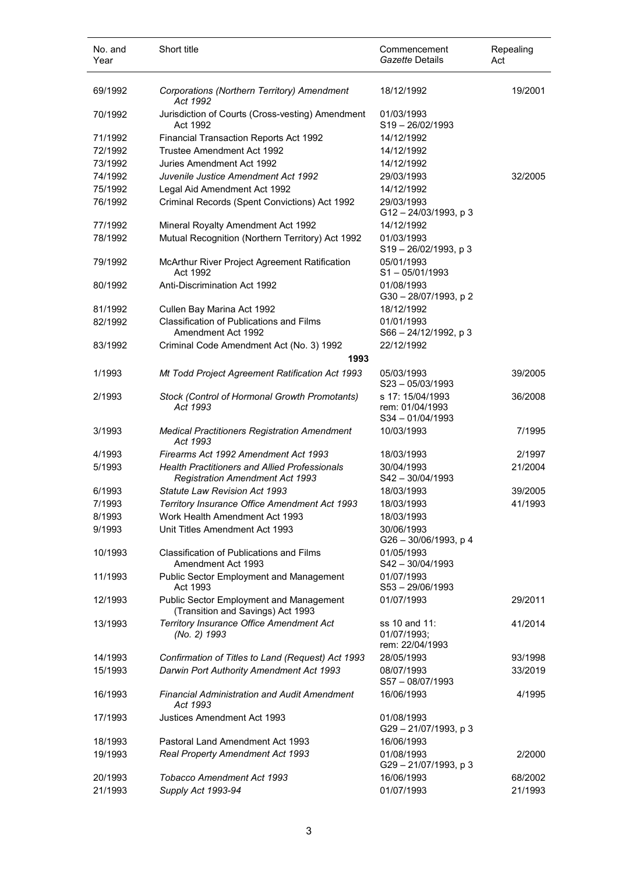| No. and<br>Year    | Short title                                                                                    | Commencement<br>Gazette Details                       | Repealing<br>Act   |
|--------------------|------------------------------------------------------------------------------------------------|-------------------------------------------------------|--------------------|
| 69/1992            | Corporations (Northern Territory) Amendment<br>Act 1992                                        | 18/12/1992                                            | 19/2001            |
| 70/1992            | Jurisdiction of Courts (Cross-vesting) Amendment<br>Act 1992                                   | 01/03/1993<br>$S19 - 26/02/1993$                      |                    |
| 71/1992            | Financial Transaction Reports Act 1992                                                         | 14/12/1992                                            |                    |
| 72/1992            | Trustee Amendment Act 1992                                                                     | 14/12/1992                                            |                    |
| 73/1992            | Juries Amendment Act 1992                                                                      | 14/12/1992                                            |                    |
| 74/1992            | Juvenile Justice Amendment Act 1992                                                            | 29/03/1993                                            | 32/2005            |
| 75/1992            | Legal Aid Amendment Act 1992                                                                   | 14/12/1992                                            |                    |
| 76/1992            | Criminal Records (Spent Convictions) Act 1992                                                  | 29/03/1993<br>G12-24/03/1993, p3                      |                    |
| 77/1992            | Mineral Royalty Amendment Act 1992                                                             | 14/12/1992                                            |                    |
| 78/1992            | Mutual Recognition (Northern Territory) Act 1992                                               | 01/03/1993<br>S19-26/02/1993, p3                      |                    |
| 79/1992            | McArthur River Project Agreement Ratification<br>Act 1992                                      | 05/01/1993<br>$S1 - 05/01/1993$                       |                    |
| 80/1992            | Anti-Discrimination Act 1992                                                                   | 01/08/1993<br>G30-28/07/1993, p2                      |                    |
| 81/1992            | Cullen Bay Marina Act 1992                                                                     | 18/12/1992                                            |                    |
| 82/1992            | <b>Classification of Publications and Films</b>                                                | 01/01/1993                                            |                    |
|                    | Amendment Act 1992                                                                             | S66 - 24/12/1992, p 3                                 |                    |
| 83/1992            | Criminal Code Amendment Act (No. 3) 1992                                                       | 22/12/1992                                            |                    |
|                    | 1993                                                                                           |                                                       |                    |
| 1/1993             | Mt Todd Project Agreement Ratification Act 1993                                                | 05/03/1993<br>$S23 - 05/03/1993$                      | 39/2005            |
| 2/1993             | Stock (Control of Hormonal Growth Promotants)<br>Act 1993                                      | s 17: 15/04/1993<br>rem: 01/04/1993<br>S34-01/04/1993 | 36/2008            |
| 3/1993             | <b>Medical Practitioners Registration Amendment</b><br>Act 1993                                | 10/03/1993                                            | 7/1995             |
| 4/1993             | Firearms Act 1992 Amendment Act 1993                                                           | 18/03/1993                                            | 2/1997             |
| 5/1993             | <b>Health Practitioners and Allied Professionals</b><br><b>Registration Amendment Act 1993</b> | 30/04/1993<br>S42-30/04/1993                          | 21/2004            |
| 6/1993             | Statute Law Revision Act 1993                                                                  | 18/03/1993                                            | 39/2005            |
| 7/1993             | Territory Insurance Office Amendment Act 1993                                                  | 18/03/1993                                            | 41/1993            |
| 8/1993             | Work Health Amendment Act 1993                                                                 | 18/03/1993                                            |                    |
| 9/1993             | Unit Titles Amendment Act 1993                                                                 | 30/06/1993<br>G26 - 30/06/1993, p 4                   |                    |
| 10/1993            | <b>Classification of Publications and Films</b><br>Amendment Act 1993                          | 01/05/1993<br>$S42 - 30/04/1993$                      |                    |
| 11/1993            | <b>Public Sector Employment and Management</b><br>Act 1993                                     | 01/07/1993<br>S53-29/06/1993                          |                    |
| 12/1993            | <b>Public Sector Employment and Management</b><br>(Transition and Savings) Act 1993            | 01/07/1993                                            | 29/2011            |
| 13/1993            | <b>Territory Insurance Office Amendment Act</b><br>(No. 2) 1993                                | ss 10 and 11:<br>01/07/1993;<br>rem: 22/04/1993       | 41/2014            |
| 14/1993            | Confirmation of Titles to Land (Request) Act 1993                                              | 28/05/1993                                            | 93/1998            |
| 15/1993            | Darwin Port Authority Amendment Act 1993                                                       | 08/07/1993<br>$S57 - 08/07/1993$                      | 33/2019            |
| 16/1993            | <b>Financial Administration and Audit Amendment</b><br>Act 1993                                | 16/06/1993                                            | 4/1995             |
| 17/1993            | Justices Amendment Act 1993                                                                    | 01/08/1993<br>G29-21/07/1993, p 3                     |                    |
| 18/1993            | Pastoral Land Amendment Act 1993                                                               | 16/06/1993                                            |                    |
| 19/1993            | Real Property Amendment Act 1993                                                               | 01/08/1993<br>G29-21/07/1993, p 3                     | 2/2000             |
| 20/1993<br>21/1993 | <b>Tobacco Amendment Act 1993</b><br>Supply Act 1993-94                                        | 16/06/1993<br>01/07/1993                              | 68/2002<br>21/1993 |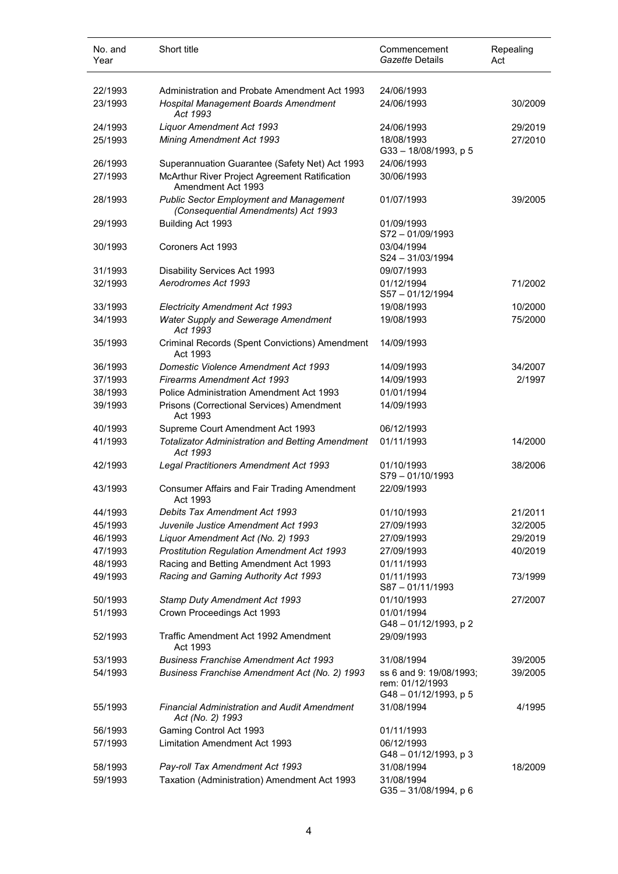| No. and<br>Year    | Short title                                                                                | Commencement<br>Gazette Details                                   | Repealing<br>Act |
|--------------------|--------------------------------------------------------------------------------------------|-------------------------------------------------------------------|------------------|
| 22/1993            | Administration and Probate Amendment Act 1993                                              | 24/06/1993                                                        |                  |
| 23/1993            | Hospital Management Boards Amendment<br>Act 1993                                           | 24/06/1993                                                        | 30/2009          |
| 24/1993            | Liquor Amendment Act 1993                                                                  | 24/06/1993                                                        | 29/2019          |
| 25/1993            | <b>Mining Amendment Act 1993</b>                                                           | 18/08/1993<br>$G33 - 18/08/1993$ , p 5                            | 27/2010          |
| 26/1993            | Superannuation Guarantee (Safety Net) Act 1993                                             | 24/06/1993                                                        |                  |
| 27/1993            | McArthur River Project Agreement Ratification<br>Amendment Act 1993                        | 30/06/1993                                                        |                  |
| 28/1993            | <b>Public Sector Employment and Management</b><br>(Consequential Amendments) Act 1993      | 01/07/1993                                                        | 39/2005          |
| 29/1993            | Building Act 1993                                                                          | 01/09/1993<br>S72-01/09/1993                                      |                  |
| 30/1993            | Coroners Act 1993                                                                          | 03/04/1994<br>$S24 - 31/03/1994$                                  |                  |
| 31/1993            | Disability Services Act 1993                                                               | 09/07/1993                                                        |                  |
| 32/1993            | Aerodromes Act 1993                                                                        | 01/12/1994<br>S57-01/12/1994                                      | 71/2002          |
| 33/1993            | <b>Electricity Amendment Act 1993</b>                                                      | 19/08/1993                                                        | 10/2000          |
| 34/1993            | Water Supply and Sewerage Amendment<br>Act 1993                                            | 19/08/1993                                                        | 75/2000          |
| 35/1993            | Criminal Records (Spent Convictions) Amendment<br>Act 1993                                 | 14/09/1993                                                        |                  |
| 36/1993            | <b>Domestic Violence Amendment Act 1993</b>                                                | 14/09/1993                                                        | 34/2007          |
| 37/1993            | <b>Firearms Amendment Act 1993</b>                                                         | 14/09/1993                                                        | 2/1997           |
| 38/1993            | Police Administration Amendment Act 1993                                                   | 01/01/1994                                                        |                  |
| 39/1993            | Prisons (Correctional Services) Amendment<br>Act 1993                                      | 14/09/1993                                                        |                  |
| 40/1993            | Supreme Court Amendment Act 1993                                                           | 06/12/1993                                                        |                  |
| 41/1993            | <b>Totalizator Administration and Betting Amendment</b><br>Act 1993                        | 01/11/1993                                                        | 14/2000          |
| 42/1993            | Legal Practitioners Amendment Act 1993                                                     | 01/10/1993<br>S79-01/10/1993                                      | 38/2006          |
| 43/1993            | <b>Consumer Affairs and Fair Trading Amendment</b><br>Act 1993                             | 22/09/1993                                                        |                  |
| 44/1993            | Debits Tax Amendment Act 1993                                                              | 01/10/1993                                                        | 21/2011          |
| 45/1993            | Juvenile Justice Amendment Act 1993                                                        | 27/09/1993                                                        | 32/2005          |
| 46/1993            | Liquor Amendment Act (No. 2) 1993                                                          | 27/09/1993                                                        | 29/2019          |
| 47/1993<br>48/1993 | <b>Prostitution Regulation Amendment Act 1993</b><br>Racing and Betting Amendment Act 1993 | 27/09/1993<br>01/11/1993                                          | 40/2019          |
| 49/1993            | Racing and Gaming Authority Act 1993                                                       | 01/11/1993<br>S87-01/11/1993                                      | 73/1999          |
| 50/1993            | Stamp Duty Amendment Act 1993                                                              | 01/10/1993                                                        | 27/2007          |
| 51/1993            | Crown Proceedings Act 1993                                                                 | 01/01/1994<br>G48-01/12/1993, p2                                  |                  |
| 52/1993            | Traffic Amendment Act 1992 Amendment<br>Act 1993                                           | 29/09/1993                                                        |                  |
| 53/1993            | <b>Business Franchise Amendment Act 1993</b>                                               | 31/08/1994                                                        | 39/2005          |
| 54/1993            | Business Franchise Amendment Act (No. 2) 1993                                              | ss 6 and 9: 19/08/1993;<br>rem: 01/12/1993<br>G48-01/12/1993, p 5 | 39/2005          |
| 55/1993            | <b>Financial Administration and Audit Amendment</b><br>Act (No. 2) 1993                    | 31/08/1994                                                        | 4/1995           |
| 56/1993            | Gaming Control Act 1993                                                                    | 01/11/1993                                                        |                  |
| 57/1993            | <b>Limitation Amendment Act 1993</b>                                                       | 06/12/1993<br>G48 - 01/12/1993, p 3                               |                  |
| 58/1993            | Pay-roll Tax Amendment Act 1993                                                            | 31/08/1994                                                        | 18/2009          |
| 59/1993            | Taxation (Administration) Amendment Act 1993                                               | 31/08/1994<br>G35-31/08/1994, p 6                                 |                  |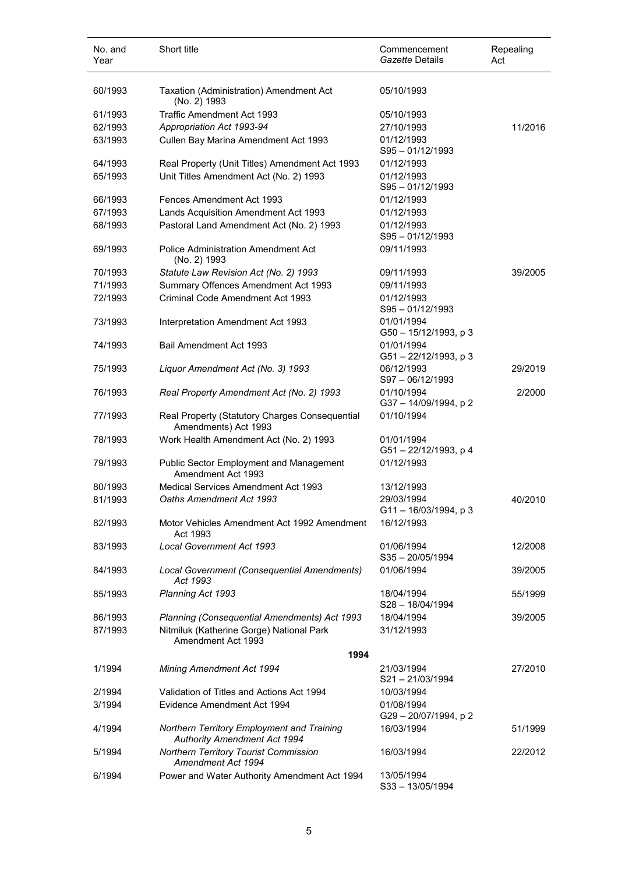| No. and<br>Year    | Short title                                                                                                    | Commencement<br>Gazette Details        | Repealing<br>Act |
|--------------------|----------------------------------------------------------------------------------------------------------------|----------------------------------------|------------------|
| 60/1993            | Taxation (Administration) Amendment Act<br>(No. 2) 1993                                                        | 05/10/1993                             |                  |
| 61/1993            | Traffic Amendment Act 1993                                                                                     | 05/10/1993                             |                  |
| 62/1993            | Appropriation Act 1993-94                                                                                      | 27/10/1993                             | 11/2016          |
| 63/1993            | Cullen Bay Marina Amendment Act 1993                                                                           | 01/12/1993<br>$S95 - 01/12/1993$       |                  |
| 64/1993            | Real Property (Unit Titles) Amendment Act 1993                                                                 | 01/12/1993                             |                  |
| 65/1993            | Unit Titles Amendment Act (No. 2) 1993                                                                         | 01/12/1993<br>$S95 - 01/12/1993$       |                  |
| 66/1993            | Fences Amendment Act 1993                                                                                      | 01/12/1993                             |                  |
| 67/1993            | Lands Acquisition Amendment Act 1993                                                                           | 01/12/1993                             |                  |
| 68/1993            | Pastoral Land Amendment Act (No. 2) 1993                                                                       | 01/12/1993<br>$S95 - 01/12/1993$       |                  |
| 69/1993            | Police Administration Amendment Act<br>(No. 2) 1993                                                            | 09/11/1993                             |                  |
| 70/1993            | Statute Law Revision Act (No. 2) 1993                                                                          | 09/11/1993                             | 39/2005          |
| 71/1993            | Summary Offences Amendment Act 1993                                                                            | 09/11/1993                             |                  |
| 72/1993            | Criminal Code Amendment Act 1993                                                                               | 01/12/1993<br>$S95 - 01/12/1993$       |                  |
| 73/1993            | Interpretation Amendment Act 1993                                                                              | 01/01/1994<br>G50 - 15/12/1993, p 3    |                  |
| 74/1993            | Bail Amendment Act 1993                                                                                        | 01/01/1994<br>G51-22/12/1993, p3       |                  |
| 75/1993            | Liquor Amendment Act (No. 3) 1993                                                                              | 06/12/1993<br>S97-06/12/1993           | 29/2019          |
| 76/1993            | Real Property Amendment Act (No. 2) 1993                                                                       | 01/10/1994<br>G37 - 14/09/1994, p 2    | 2/2000           |
| 77/1993            | Real Property (Statutory Charges Consequential<br>Amendments) Act 1993                                         | 01/10/1994                             |                  |
| 78/1993            | Work Health Amendment Act (No. 2) 1993                                                                         | 01/01/1994<br>G51-22/12/1993, p 4      |                  |
| 79/1993            | <b>Public Sector Employment and Management</b><br>Amendment Act 1993                                           | 01/12/1993                             |                  |
| 80/1993            | Medical Services Amendment Act 1993                                                                            | 13/12/1993                             |                  |
| 81/1993            | Oaths Amendment Act 1993                                                                                       | 29/03/1994<br>$G11 - 16/03/1994$ , p 3 | 40/2010          |
| 82/1993            | Motor Vehicles Amendment Act 1992 Amendment<br>Act 1993                                                        | 16/12/1993                             |                  |
| 83/1993            | <b>Local Government Act 1993</b>                                                                               | 01/06/1994<br>$S35 - 20/05/1994$       | 12/2008          |
| 84/1993            | Local Government (Consequential Amendments)<br>Act 1993                                                        | 01/06/1994                             | 39/2005          |
| 85/1993            | Planning Act 1993                                                                                              | 18/04/1994<br>$S28 - 18/04/1994$       | 55/1999          |
| 86/1993<br>87/1993 | Planning (Consequential Amendments) Act 1993<br>Nitmiluk (Katherine Gorge) National Park<br>Amendment Act 1993 | 18/04/1994<br>31/12/1993               | 39/2005          |
|                    | 1994                                                                                                           |                                        |                  |
| 1/1994             | Mining Amendment Act 1994                                                                                      | 21/03/1994<br>S21-21/03/1994           | 27/2010          |
| 2/1994             | Validation of Titles and Actions Act 1994                                                                      | 10/03/1994                             |                  |
| 3/1994             | Evidence Amendment Act 1994                                                                                    | 01/08/1994<br>G29-20/07/1994, p2       |                  |
| 4/1994             | Northern Territory Employment and Training<br><b>Authority Amendment Act 1994</b>                              | 16/03/1994                             | 51/1999          |
| 5/1994             | Northern Territory Tourist Commission<br>Amendment Act 1994                                                    | 16/03/1994                             | 22/2012          |
| 6/1994             | Power and Water Authority Amendment Act 1994                                                                   | 13/05/1994<br>S33-13/05/1994           |                  |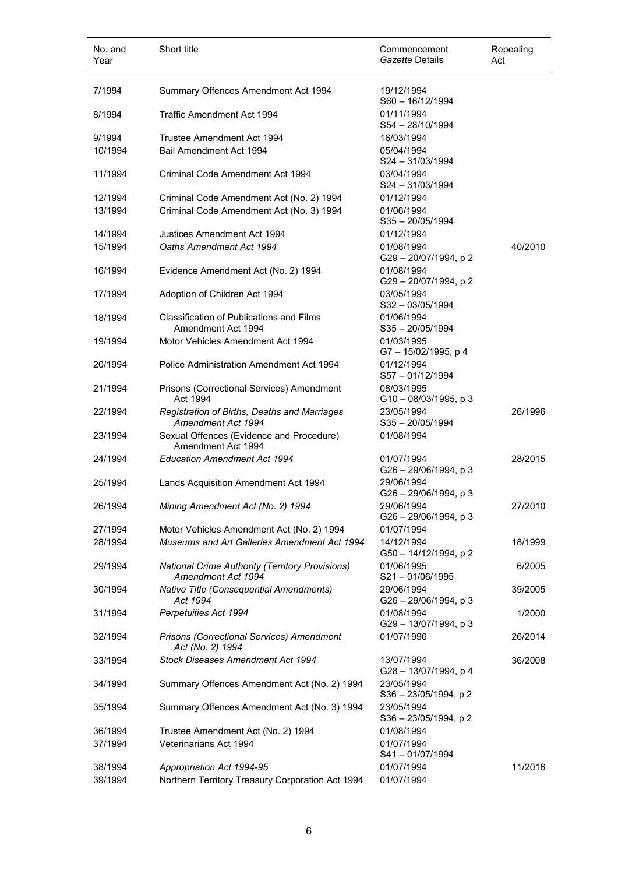| No. and<br>Year    | Short title                                                                          | Commencement<br>Gazette Details                           | Repealing<br>Act |
|--------------------|--------------------------------------------------------------------------------------|-----------------------------------------------------------|------------------|
| 7/1994             | Summary Offences Amendment Act 1994                                                  | 19/12/1994<br>$S60 - 16/12/1994$                          |                  |
| 8/1994             | Traffic Amendment Act 1994                                                           | 01/11/1994<br>$S54 - 28/10/1994$                          |                  |
| 9/1994<br>10/1994  | Trustee Amendment Act 1994<br>Bail Amendment Act 1994                                | 16/03/1994<br>05/04/1994<br>$S24 - 31/03/1994$            |                  |
| 11/1994            | Criminal Code Amendment Act 1994                                                     | 03/04/1994<br>S24-31/03/1994                              |                  |
| 12/1994<br>13/1994 | Criminal Code Amendment Act (No. 2) 1994<br>Criminal Code Amendment Act (No. 3) 1994 | 01/12/1994<br>01/06/1994<br>$S35 - 20/05/1994$            |                  |
| 14/1994<br>15/1994 | Justices Amendment Act 1994<br>Oaths Amendment Act 1994                              | 01/12/1994<br>01/08/1994                                  | 40/2010          |
| 16/1994            | Evidence Amendment Act (No. 2) 1994                                                  | G29-20/07/1994, p2<br>01/08/1994<br>G29 - 20/07/1994, p 2 |                  |
| 17/1994            | Adoption of Children Act 1994                                                        | 03/05/1994<br>S32-03/05/1994                              |                  |
| 18/1994            | Classification of Publications and Films<br>Amendment Act 1994                       | 01/06/1994<br>$S35 - 20/05/1994$                          |                  |
| 19/1994            | Motor Vehicles Amendment Act 1994                                                    | 01/03/1995<br>G7-15/02/1995, p 4                          |                  |
| 20/1994            | Police Administration Amendment Act 1994                                             | 01/12/1994<br>$S57 - 01/12/1994$                          |                  |
| 21/1994            | Prisons (Correctional Services) Amendment<br>Act 1994                                | 08/03/1995<br>$G10 - 08/03/1995$ , p 3                    |                  |
| 22/1994            | Registration of Births, Deaths and Marriages<br>Amendment Act 1994                   | 23/05/1994<br>$S35 - 20/05/1994$                          | 26/1996          |
| 23/1994            | Sexual Offences (Evidence and Procedure)<br>Amendment Act 1994                       | 01/08/1994                                                |                  |
| 24/1994            | <b>Education Amendment Act 1994</b>                                                  | 01/07/1994<br>G26 - 29/06/1994, p 3                       | 28/2015          |
| 25/1994            | Lands Acquisition Amendment Act 1994                                                 | 29/06/1994<br>$G26 - 29/06/1994$ , p 3                    |                  |
| 26/1994            | Mining Amendment Act (No. 2) 1994                                                    | 29/06/1994<br>$G26 - 29/06/1994$ , p 3                    | 27/2010          |
| 27/1994            | Motor Vehicles Amendment Act (No. 2) 1994                                            | 01/07/1994                                                |                  |
| 28/1994            | Museums and Art Galleries Amendment Act 1994                                         | 14/12/1994<br>G50 - 14/12/1994, p 2                       | 18/1999          |
| 29/1994            | <b>National Crime Authority (Territory Provisions)</b><br>Amendment Act 1994         | 01/06/1995<br>$S21 - 01/06/1995$                          | 6/2005           |
| 30/1994            | <b>Native Title (Consequential Amendments)</b><br>Act 1994                           | 29/06/1994<br>G26 - 29/06/1994, p 3                       | 39/2005          |
| 31/1994            | Perpetuities Act 1994                                                                | 01/08/1994<br>G29-13/07/1994, p 3                         | 1/2000           |
| 32/1994            | Prisons (Correctional Services) Amendment<br>Act (No. 2) 1994                        | 01/07/1996                                                | 26/2014          |
| 33/1994            | Stock Diseases Amendment Act 1994                                                    | 13/07/1994<br>G28 - 13/07/1994, p 4                       | 36/2008          |
| 34/1994            | Summary Offences Amendment Act (No. 2) 1994                                          | 23/05/1994<br>$S36 - 23/05/1994$ , p 2                    |                  |
| 35/1994            | Summary Offences Amendment Act (No. 3) 1994                                          | 23/05/1994<br>$S36 - 23/05/1994$ , p 2                    |                  |
| 36/1994<br>37/1994 | Trustee Amendment Act (No. 2) 1994<br>Veterinarians Act 1994                         | 01/08/1994<br>01/07/1994                                  |                  |
|                    |                                                                                      | S41-01/07/1994                                            |                  |
| 38/1994<br>39/1994 | Appropriation Act 1994-95<br>Northern Territory Treasury Corporation Act 1994        | 01/07/1994<br>01/07/1994                                  | 11/2016          |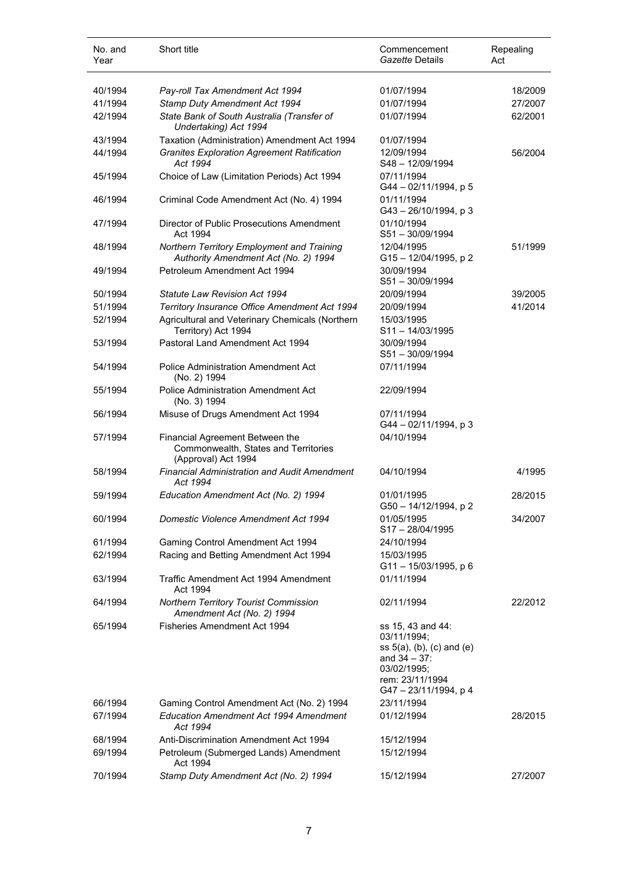| No. and<br>Year    | Short title                                                                                            | Commencement<br>Gazette Details                                                                                                             | Repealing<br>Act |
|--------------------|--------------------------------------------------------------------------------------------------------|---------------------------------------------------------------------------------------------------------------------------------------------|------------------|
| 40/1994            | Pay-roll Tax Amendment Act 1994                                                                        | 01/07/1994                                                                                                                                  | 18/2009          |
| 41/1994            | Stamp Duty Amendment Act 1994                                                                          | 01/07/1994                                                                                                                                  | 27/2007          |
| 42/1994            | State Bank of South Australia (Transfer of<br>Undertaking) Act 1994                                    | 01/07/1994                                                                                                                                  | 62/2001          |
| 43/1994            | Taxation (Administration) Amendment Act 1994                                                           | 01/07/1994                                                                                                                                  |                  |
| 44/1994            | <b>Granites Exploration Agreement Ratification</b><br>Act 1994                                         | 12/09/1994<br>$S48 - 12/09/1994$                                                                                                            | 56/2004          |
| 45/1994            | Choice of Law (Limitation Periods) Act 1994                                                            | 07/11/1994<br>G44 - 02/11/1994, p 5                                                                                                         |                  |
| 46/1994            | Criminal Code Amendment Act (No. 4) 1994                                                               | 01/11/1994<br>$G43 - 26/10/1994$ , p 3                                                                                                      |                  |
| 47/1994            | Director of Public Prosecutions Amendment<br>Act 1994                                                  | 01/10/1994<br>$S51 - 30/09/1994$                                                                                                            |                  |
| 48/1994            | Northern Territory Employment and Training<br>Authority Amendment Act (No. 2) 1994                     | 12/04/1995<br>G15-12/04/1995, p2                                                                                                            | 51/1999          |
| 49/1994            | Petroleum Amendment Act 1994                                                                           | 30/09/1994<br>S51-30/09/1994                                                                                                                |                  |
| 50/1994            | Statute Law Revision Act 1994                                                                          | 20/09/1994                                                                                                                                  | 39/2005          |
| 51/1994            | Territory Insurance Office Amendment Act 1994                                                          | 20/09/1994                                                                                                                                  | 41/2014          |
| 52/1994            | Agricultural and Veterinary Chemicals (Northern<br>Territory) Act 1994                                 | 15/03/1995<br>$S11 - 14/03/1995$                                                                                                            |                  |
| 53/1994            | Pastoral Land Amendment Act 1994                                                                       | 30/09/1994<br>S51-30/09/1994                                                                                                                |                  |
| 54/1994            | <b>Police Administration Amendment Act</b><br>(No. 2) 1994                                             | 07/11/1994                                                                                                                                  |                  |
| 55/1994            | <b>Police Administration Amendment Act</b><br>(No. 3) 1994                                             | 22/09/1994                                                                                                                                  |                  |
| 56/1994            | Misuse of Drugs Amendment Act 1994                                                                     | 07/11/1994<br>G44 - 02/11/1994, p 3                                                                                                         |                  |
| 57/1994            | Financial Agreement Between the<br>Commonwealth, States and Territories<br>(Approval) Act 1994         | 04/10/1994                                                                                                                                  |                  |
| 58/1994            | <b>Financial Administration and Audit Amendment</b><br>Act 1994                                        | 04/10/1994                                                                                                                                  | 4/1995           |
| 59/1994            | Education Amendment Act (No. 2) 1994                                                                   | 01/01/1995<br>G50 - 14/12/1994, p 2                                                                                                         | 28/2015          |
| 60/1994            | Domestic Violence Amendment Act 1994                                                                   | 01/05/1995<br>S17-28/04/1995                                                                                                                | 34/2007          |
| 61/1994            | Gaming Control Amendment Act 1994                                                                      | 24/10/1994                                                                                                                                  |                  |
| 62/1994            | Racing and Betting Amendment Act 1994                                                                  | 15/03/1995<br>G11-15/03/1995, p 6                                                                                                           |                  |
| 63/1994            | Traffic Amendment Act 1994 Amendment<br>Act 1994                                                       | 01/11/1994                                                                                                                                  |                  |
| 64/1994            | Northern Territory Tourist Commission<br>Amendment Act (No. 2) 1994                                    | 02/11/1994                                                                                                                                  | 22/2012          |
| 65/1994            | Fisheries Amendment Act 1994                                                                           | ss 15, 43 and 44:<br>03/11/1994;<br>ss $5(a)$ , (b), (c) and (e)<br>and $34 - 37$ :<br>03/02/1995;<br>rem: 23/11/1994<br>G47-23/11/1994, p4 |                  |
| 66/1994<br>67/1994 | Gaming Control Amendment Act (No. 2) 1994<br><b>Education Amendment Act 1994 Amendment</b><br>Act 1994 | 23/11/1994<br>01/12/1994                                                                                                                    | 28/2015          |
| 68/1994            | Anti-Discrimination Amendment Act 1994                                                                 | 15/12/1994                                                                                                                                  |                  |
| 69/1994            | Petroleum (Submerged Lands) Amendment<br>Act 1994                                                      | 15/12/1994                                                                                                                                  |                  |
| 70/1994            | Stamp Duty Amendment Act (No. 2) 1994                                                                  | 15/12/1994                                                                                                                                  | 27/2007          |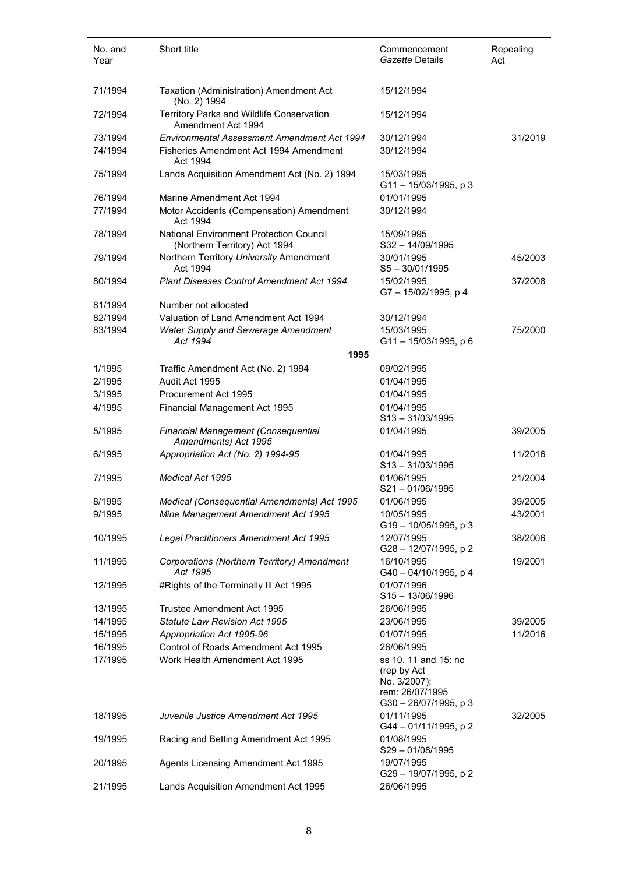| No. and<br>Year | Short title                                                                     | Commencement<br>Gazette Details                                            | Repealing<br>Act |
|-----------------|---------------------------------------------------------------------------------|----------------------------------------------------------------------------|------------------|
| 71/1994         | Taxation (Administration) Amendment Act<br>(No. 2) 1994                         | 15/12/1994                                                                 |                  |
| 72/1994         | Territory Parks and Wildlife Conservation<br>Amendment Act 1994                 | 15/12/1994                                                                 |                  |
| 73/1994         | Environmental Assessment Amendment Act 1994                                     | 30/12/1994                                                                 | 31/2019          |
| 74/1994         | Fisheries Amendment Act 1994 Amendment<br>Act 1994                              | 30/12/1994                                                                 |                  |
| 75/1994         | Lands Acquisition Amendment Act (No. 2) 1994                                    | 15/03/1995<br>G11-15/03/1995, p3                                           |                  |
| 76/1994         | Marine Amendment Act 1994                                                       | 01/01/1995                                                                 |                  |
| 77/1994         | Motor Accidents (Compensation) Amendment<br>Act 1994                            | 30/12/1994                                                                 |                  |
| 78/1994         | <b>National Environment Protection Council</b><br>(Northern Territory) Act 1994 | 15/09/1995<br>$S32 - 14/09/1995$                                           |                  |
| 79/1994         | Northern Territory University Amendment<br>Act 1994                             | 30/01/1995<br>$S5 - 30/01/1995$                                            | 45/2003          |
| 80/1994         | <b>Plant Diseases Control Amendment Act 1994</b>                                | 15/02/1995<br>G7-15/02/1995, p 4                                           | 37/2008          |
| 81/1994         | Number not allocated                                                            |                                                                            |                  |
| 82/1994         | Valuation of Land Amendment Act 1994                                            | 30/12/1994                                                                 |                  |
| 83/1994         | Water Supply and Sewerage Amendment                                             | 15/03/1995                                                                 | 75/2000          |
|                 | Act 1994                                                                        | $G11 - 15/03/1995$ , p 6                                                   |                  |
|                 | 1995                                                                            |                                                                            |                  |
| 1/1995          | Traffic Amendment Act (No. 2) 1994                                              | 09/02/1995                                                                 |                  |
| 2/1995          | Audit Act 1995                                                                  | 01/04/1995                                                                 |                  |
| 3/1995          | Procurement Act 1995                                                            | 01/04/1995                                                                 |                  |
| 4/1995          | Financial Management Act 1995                                                   | 01/04/1995                                                                 |                  |
|                 |                                                                                 | $S13 - 31/03/1995$                                                         |                  |
| 5/1995          | Financial Management (Consequential<br>Amendments) Act 1995                     | 01/04/1995                                                                 | 39/2005          |
| 6/1995          | Appropriation Act (No. 2) 1994-95                                               | 01/04/1995<br>$S13 - 31/03/1995$                                           | 11/2016          |
| 7/1995          | <b>Medical Act 1995</b>                                                         | 01/06/1995<br>S21-01/06/1995                                               | 21/2004          |
| 8/1995          | Medical (Consequential Amendments) Act 1995                                     | 01/06/1995                                                                 | 39/2005          |
| 9/1995          | Mine Management Amendment Act 1995                                              | 10/05/1995<br>$G19 - 10/05/1995$ , p 3                                     | 43/2001          |
| 10/1995         | Legal Practitioners Amendment Act 1995                                          | 12/07/1995<br>G28 - 12/07/1995, p 2                                        | 38/2006          |
| 11/1995         | Corporations (Northern Territory) Amendment<br>Act 1995                         | 16/10/1995<br>G40 - 04/10/1995, p 4                                        | 19/2001          |
| 12/1995         | #Rights of the Terminally III Act 1995                                          | 01/07/1996<br>$S15 - 13/06/1996$                                           |                  |
| 13/1995         | Trustee Amendment Act 1995                                                      | 26/06/1995                                                                 |                  |
| 14/1995         | <b>Statute Law Revision Act 1995</b>                                            | 23/06/1995                                                                 | 39/2005          |
| 15/1995         | Appropriation Act 1995-96                                                       | 01/07/1995                                                                 | 11/2016          |
| 16/1995         | Control of Roads Amendment Act 1995                                             | 26/06/1995                                                                 |                  |
| 17/1995         | Work Health Amendment Act 1995                                                  | ss 10, 11 and 15: nc                                                       |                  |
|                 |                                                                                 | (rep by Act<br>No. 3/2007);<br>rem: 26/07/1995<br>$G30 - 26/07/1995$ , p 3 |                  |
| 18/1995         | Juvenile Justice Amendment Act 1995                                             | 01/11/1995<br>G44 - 01/11/1995, p 2                                        | 32/2005          |
| 19/1995         | Racing and Betting Amendment Act 1995                                           | 01/08/1995<br>S29-01/08/1995                                               |                  |
| 20/1995         | Agents Licensing Amendment Act 1995                                             | 19/07/1995<br>G29-19/07/1995, p2                                           |                  |
| 21/1995         | Lands Acquisition Amendment Act 1995                                            | 26/06/1995                                                                 |                  |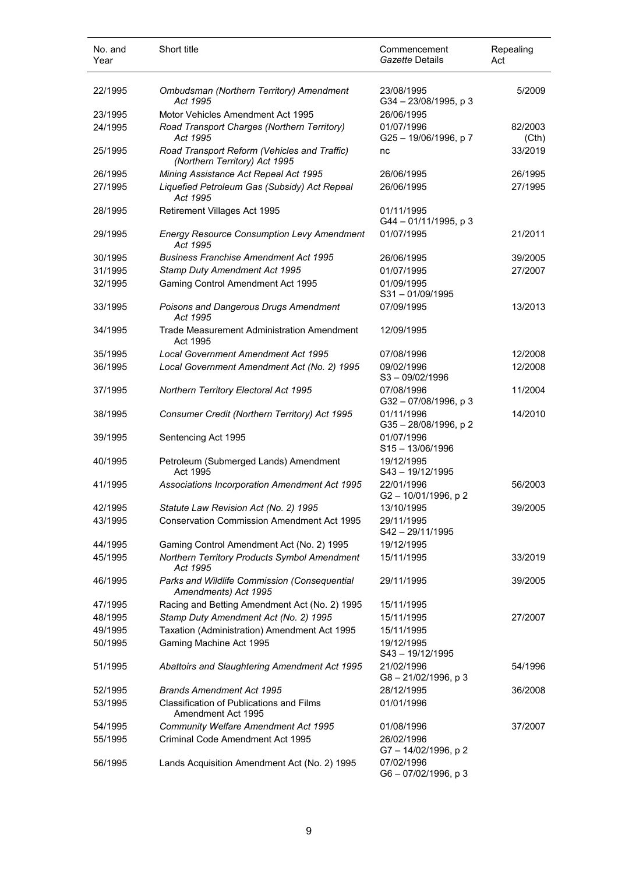| No. and<br>Year | Short title                                                                   | Commencement<br>Gazette Details    | Repealing<br>Act |
|-----------------|-------------------------------------------------------------------------------|------------------------------------|------------------|
| 22/1995         | Ombudsman (Northern Territory) Amendment<br>Act 1995                          | 23/08/1995<br>G34-23/08/1995, p3   | 5/2009           |
| 23/1995         | Motor Vehicles Amendment Act 1995                                             | 26/06/1995                         |                  |
| 24/1995         | Road Transport Charges (Northern Territory)<br>Act 1995                       | 01/07/1996<br>G25-19/06/1996, p7   | 82/2003<br>(Cth) |
| 25/1995         | Road Transport Reform (Vehicles and Traffic)<br>(Northern Territory) Act 1995 | nc                                 | 33/2019          |
| 26/1995         | Mining Assistance Act Repeal Act 1995                                         | 26/06/1995                         | 26/1995          |
| 27/1995         | Liquefied Petroleum Gas (Subsidy) Act Repeal<br>Act 1995                      | 26/06/1995                         | 27/1995          |
| 28/1995         | Retirement Villages Act 1995                                                  | 01/11/1995<br>G44-01/11/1995, p3   |                  |
| 29/1995         | <b>Energy Resource Consumption Levy Amendment</b><br>Act 1995                 | 01/07/1995                         | 21/2011          |
| 30/1995         | <b>Business Franchise Amendment Act 1995</b>                                  | 26/06/1995                         | 39/2005          |
| 31/1995         | Stamp Duty Amendment Act 1995                                                 | 01/07/1995                         | 27/2007          |
| 32/1995         | Gaming Control Amendment Act 1995                                             | 01/09/1995<br>S31-01/09/1995       |                  |
| 33/1995         | Poisons and Dangerous Drugs Amendment<br>Act 1995                             | 07/09/1995                         | 13/2013          |
| 34/1995         | <b>Trade Measurement Administration Amendment</b><br>Act 1995                 | 12/09/1995                         |                  |
| 35/1995         | Local Government Amendment Act 1995                                           | 07/08/1996                         | 12/2008          |
| 36/1995         | Local Government Amendment Act (No. 2) 1995                                   | 09/02/1996<br>$S3 - 09/02/1996$    | 12/2008          |
| 37/1995         | Northern Territory Electoral Act 1995                                         | 07/08/1996<br>G32-07/08/1996, p3   | 11/2004          |
| 38/1995         | Consumer Credit (Northern Territory) Act 1995                                 | 01/11/1996<br>G35-28/08/1996, p2   | 14/2010          |
| 39/1995         | Sentencing Act 1995                                                           | 01/07/1996<br>$S15 - 13/06/1996$   |                  |
| 40/1995         | Petroleum (Submerged Lands) Amendment<br>Act 1995                             | 19/12/1995<br>S43-19/12/1995       |                  |
| 41/1995         | Associations Incorporation Amendment Act 1995                                 | 22/01/1996<br>G2-10/01/1996, p2    | 56/2003          |
| 42/1995         | Statute Law Revision Act (No. 2) 1995                                         | 13/10/1995                         | 39/2005          |
| 43/1995         | <b>Conservation Commission Amendment Act 1995</b>                             | 29/11/1995<br>S42-29/11/1995       |                  |
| 44/1995         | Gaming Control Amendment Act (No. 2) 1995                                     | 19/12/1995                         |                  |
| 45/1995         | Northern Territory Products Symbol Amendment<br>Act 1995                      | 15/11/1995                         | 33/2019          |
| 46/1995         | Parks and Wildlife Commission (Consequential<br>Amendments) Act 1995          | 29/11/1995                         | 39/2005          |
| 47/1995         | Racing and Betting Amendment Act (No. 2) 1995                                 | 15/11/1995                         |                  |
| 48/1995         | Stamp Duty Amendment Act (No. 2) 1995                                         | 15/11/1995                         | 27/2007          |
| 49/1995         | Taxation (Administration) Amendment Act 1995                                  | 15/11/1995                         |                  |
| 50/1995         | Gaming Machine Act 1995                                                       | 19/12/1995<br>S43-19/12/1995       |                  |
| 51/1995         | Abattoirs and Slaughtering Amendment Act 1995                                 | 21/02/1996<br>G8-21/02/1996, p 3   | 54/1996          |
| 52/1995         | <b>Brands Amendment Act 1995</b>                                              | 28/12/1995                         | 36/2008          |
| 53/1995         | <b>Classification of Publications and Films</b><br>Amendment Act 1995         | 01/01/1996                         |                  |
| 54/1995         | Community Welfare Amendment Act 1995                                          | 01/08/1996                         | 37/2007          |
| 55/1995         | Criminal Code Amendment Act 1995                                              | 26/02/1996<br>G7 - 14/02/1996, p 2 |                  |
| 56/1995         | Lands Acquisition Amendment Act (No. 2) 1995                                  | 07/02/1996<br>G6-07/02/1996, p 3   |                  |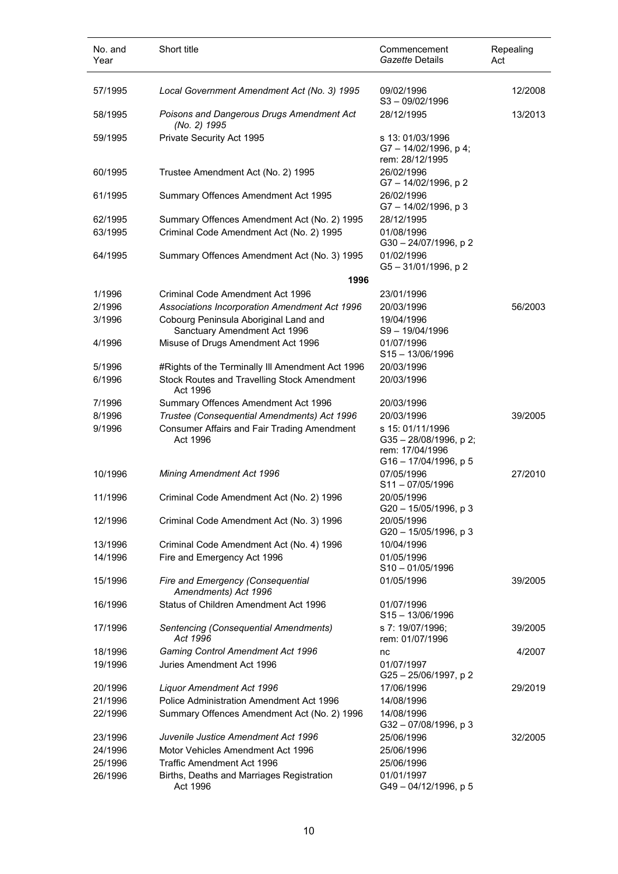| No. and<br>Year | Short title                                                           | Commencement<br><i>Gazette</i> Details                                                  | Repealing<br>Act |
|-----------------|-----------------------------------------------------------------------|-----------------------------------------------------------------------------------------|------------------|
| 57/1995         | Local Government Amendment Act (No. 3) 1995                           | 09/02/1996<br>$S3 - 09/02/1996$                                                         | 12/2008          |
| 58/1995         | Poisons and Dangerous Drugs Amendment Act<br>(No. 2) 1995             | 28/12/1995                                                                              | 13/2013          |
| 59/1995         | Private Security Act 1995                                             | s 13: 01/03/1996<br>G7-14/02/1996, p4;<br>rem: 28/12/1995                               |                  |
| 60/1995         | Trustee Amendment Act (No. 2) 1995                                    | 26/02/1996<br>G7 - 14/02/1996, p 2                                                      |                  |
| 61/1995         | Summary Offences Amendment Act 1995                                   | 26/02/1996<br>G7-14/02/1996, p 3                                                        |                  |
| 62/1995         | Summary Offences Amendment Act (No. 2) 1995                           | 28/12/1995                                                                              |                  |
| 63/1995         | Criminal Code Amendment Act (No. 2) 1995                              | 01/08/1996<br>G30-24/07/1996, p2                                                        |                  |
| 64/1995         | Summary Offences Amendment Act (No. 3) 1995                           | 01/02/1996<br>G5-31/01/1996, p2                                                         |                  |
|                 | 1996                                                                  |                                                                                         |                  |
| 1/1996          | Criminal Code Amendment Act 1996                                      | 23/01/1996                                                                              |                  |
| 2/1996          | Associations Incorporation Amendment Act 1996                         | 20/03/1996                                                                              | 56/2003          |
| 3/1996          | Cobourg Peninsula Aboriginal Land and<br>Sanctuary Amendment Act 1996 | 19/04/1996<br>S9-19/04/1996                                                             |                  |
| 4/1996          | Misuse of Drugs Amendment Act 1996                                    | 01/07/1996<br>$S15 - 13/06/1996$                                                        |                  |
| 5/1996          | #Rights of the Terminally III Amendment Act 1996                      | 20/03/1996                                                                              |                  |
| 6/1996          | Stock Routes and Travelling Stock Amendment<br>Act 1996               | 20/03/1996                                                                              |                  |
| 7/1996          | Summary Offences Amendment Act 1996                                   | 20/03/1996                                                                              |                  |
| 8/1996          | Trustee (Consequential Amendments) Act 1996                           | 20/03/1996                                                                              | 39/2005          |
| 9/1996          | <b>Consumer Affairs and Fair Trading Amendment</b><br>Act 1996        | s 15: 01/11/1996<br>$G35 - 28/08/1996$ , p 2;<br>rem: 17/04/1996<br>G16-17/04/1996, p 5 |                  |
| 10/1996         | Mining Amendment Act 1996                                             | 07/05/1996<br>$S11 - 07/05/1996$                                                        | 27/2010          |
| 11/1996         | Criminal Code Amendment Act (No. 2) 1996                              | 20/05/1996<br>G20 - 15/05/1996, p 3                                                     |                  |
| 12/1996         | Criminal Code Amendment Act (No. 3) 1996                              | 20/05/1996<br>G20 - 15/05/1996, p 3                                                     |                  |
| 13/1996         | Criminal Code Amendment Act (No. 4) 1996                              | 10/04/1996                                                                              |                  |
| 14/1996         | Fire and Emergency Act 1996                                           | 01/05/1996<br>$S10 - 01/05/1996$                                                        |                  |
| 15/1996         | Fire and Emergency (Consequential<br>Amendments) Act 1996             | 01/05/1996                                                                              | 39/2005          |
| 16/1996         | Status of Children Amendment Act 1996                                 | 01/07/1996<br>$S15 - 13/06/1996$                                                        |                  |
| 17/1996         | Sentencing (Consequential Amendments)<br>Act 1996                     | s 7: 19/07/1996;<br>rem: 01/07/1996                                                     | 39/2005          |
| 18/1996         | Gaming Control Amendment Act 1996                                     | nc                                                                                      | 4/2007           |
| 19/1996         | Juries Amendment Act 1996                                             | 01/07/1997<br>G25 - 25/06/1997, p 2                                                     |                  |
| 20/1996         | Liquor Amendment Act 1996                                             | 17/06/1996                                                                              | 29/2019          |
| 21/1996         | Police Administration Amendment Act 1996                              | 14/08/1996                                                                              |                  |
| 22/1996         | Summary Offences Amendment Act (No. 2) 1996                           | 14/08/1996<br>$G32 - 07/08/1996$ , p 3                                                  |                  |
| 23/1996         | Juvenile Justice Amendment Act 1996                                   | 25/06/1996                                                                              | 32/2005          |
| 24/1996         | Motor Vehicles Amendment Act 1996                                     | 25/06/1996                                                                              |                  |
| 25/1996         | <b>Traffic Amendment Act 1996</b>                                     | 25/06/1996                                                                              |                  |
| 26/1996         | Births, Deaths and Marriages Registration<br>Act 1996                 | 01/01/1997<br>G49-04/12/1996, p 5                                                       |                  |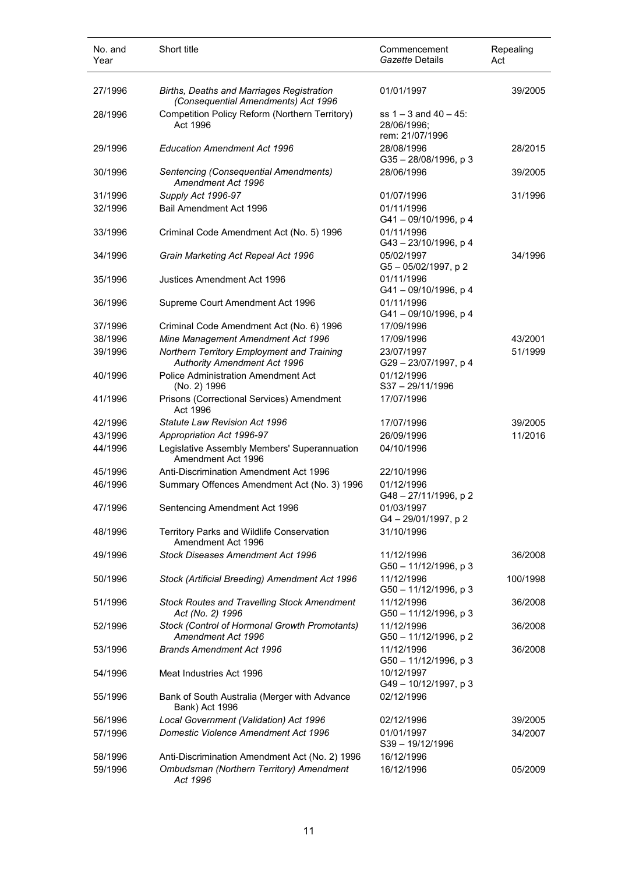| No. and<br>Year | Short title                                                                             | Commencement<br>Gazette Details                              | Repealing<br>Act |
|-----------------|-----------------------------------------------------------------------------------------|--------------------------------------------------------------|------------------|
| 27/1996         | <b>Births, Deaths and Marriages Registration</b><br>(Consequential Amendments) Act 1996 | 01/01/1997                                                   | 39/2005          |
| 28/1996         | Competition Policy Reform (Northern Territory)<br>Act 1996                              | ss $1 - 3$ and $40 - 45$ :<br>28/06/1996;<br>rem: 21/07/1996 |                  |
| 29/1996         | <b>Education Amendment Act 1996</b>                                                     | 28/08/1996<br>G35-28/08/1996, p 3                            | 28/2015          |
| 30/1996         | Sentencing (Consequential Amendments)<br>Amendment Act 1996                             | 28/06/1996                                                   | 39/2005          |
| 31/1996         | Supply Act 1996-97                                                                      | 01/07/1996                                                   | 31/1996          |
| 32/1996         | Bail Amendment Act 1996                                                                 | 01/11/1996<br>G41-09/10/1996, p4                             |                  |
| 33/1996         | Criminal Code Amendment Act (No. 5) 1996                                                | 01/11/1996<br>G43 - 23/10/1996, p 4                          |                  |
| 34/1996         | Grain Marketing Act Repeal Act 1996                                                     | 05/02/1997<br>G5-05/02/1997, p2                              | 34/1996          |
| 35/1996         | Justices Amendment Act 1996                                                             | 01/11/1996<br>$G41 - 09/10/1996$ , p 4                       |                  |
| 36/1996         | Supreme Court Amendment Act 1996                                                        | 01/11/1996<br>G41-09/10/1996, p4                             |                  |
| 37/1996         | Criminal Code Amendment Act (No. 6) 1996                                                | 17/09/1996                                                   |                  |
| 38/1996         | Mine Management Amendment Act 1996                                                      | 17/09/1996                                                   | 43/2001          |
| 39/1996         | Northern Territory Employment and Training<br><b>Authority Amendment Act 1996</b>       | 23/07/1997<br>G29-23/07/1997, p4                             | 51/1999          |
| 40/1996         | <b>Police Administration Amendment Act</b><br>(No. 2) 1996                              | 01/12/1996<br>S37-29/11/1996                                 |                  |
| 41/1996         | Prisons (Correctional Services) Amendment<br>Act 1996                                   | 17/07/1996                                                   |                  |
| 42/1996         | Statute Law Revision Act 1996                                                           | 17/07/1996                                                   | 39/2005          |
| 43/1996         | Appropriation Act 1996-97                                                               | 26/09/1996                                                   | 11/2016          |
| 44/1996         | Legislative Assembly Members' Superannuation<br>Amendment Act 1996                      | 04/10/1996                                                   |                  |
| 45/1996         | Anti-Discrimination Amendment Act 1996                                                  | 22/10/1996                                                   |                  |
| 46/1996         | Summary Offences Amendment Act (No. 3) 1996                                             | 01/12/1996<br>G48 - 27/11/1996, p 2                          |                  |
| 47/1996         | Sentencing Amendment Act 1996                                                           | 01/03/1997<br>G4-29/01/1997, p2                              |                  |
| 48/1996         | Territory Parks and Wildlife Conservation<br>Amendment Act 1996                         | 31/10/1996                                                   |                  |
| 49/1996         | <b>Stock Diseases Amendment Act 1996</b>                                                | 11/12/1996<br>G50 - 11/12/1996, p 3                          | 36/2008          |
| 50/1996         | Stock (Artificial Breeding) Amendment Act 1996                                          | 11/12/1996<br>G50 - 11/12/1996, p 3                          | 100/1998         |
| 51/1996         | <b>Stock Routes and Travelling Stock Amendment</b><br>Act (No. 2) 1996                  | 11/12/1996<br>G50 - 11/12/1996, p 3                          | 36/2008          |
| 52/1996         | Stock (Control of Hormonal Growth Promotants)<br>Amendment Act 1996                     | 11/12/1996<br>G50 - 11/12/1996, p 2                          | 36/2008          |
| 53/1996         | <b>Brands Amendment Act 1996</b>                                                        | 11/12/1996<br>G50 - 11/12/1996, p 3                          | 36/2008          |
| 54/1996         | Meat Industries Act 1996                                                                | 10/12/1997<br>G49 - 10/12/1997, p 3                          |                  |
| 55/1996         | Bank of South Australia (Merger with Advance<br>Bank) Act 1996                          | 02/12/1996                                                   |                  |
| 56/1996         | Local Government (Validation) Act 1996                                                  | 02/12/1996                                                   | 39/2005          |
| 57/1996         | Domestic Violence Amendment Act 1996                                                    | 01/01/1997<br>S39-19/12/1996                                 | 34/2007          |
| 58/1996         | Anti-Discrimination Amendment Act (No. 2) 1996                                          | 16/12/1996                                                   |                  |
| 59/1996         | Ombudsman (Northern Territory) Amendment<br>Act 1996                                    | 16/12/1996                                                   | 05/2009          |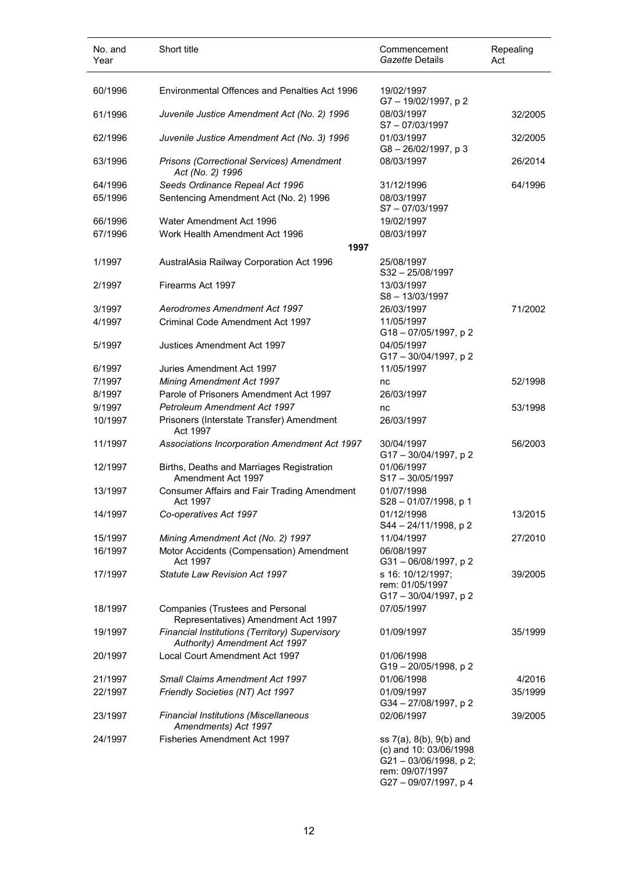| No. and<br>Year | Short title                                                                     | Commencement<br>Gazette Details                                  | Repealing<br>Act |
|-----------------|---------------------------------------------------------------------------------|------------------------------------------------------------------|------------------|
| 60/1996         | <b>Environmental Offences and Penalties Act 1996</b>                            | 19/02/1997<br>G7-19/02/1997, p2                                  |                  |
| 61/1996         | Juvenile Justice Amendment Act (No. 2) 1996                                     | 08/03/1997<br>S7-07/03/1997                                      | 32/2005          |
| 62/1996         | Juvenile Justice Amendment Act (No. 3) 1996                                     | 01/03/1997<br>$G8 - 26/02/1997$ , p 3                            | 32/2005          |
| 63/1996         | Prisons (Correctional Services) Amendment<br>Act (No. 2) 1996                   | 08/03/1997                                                       | 26/2014          |
| 64/1996         | Seeds Ordinance Repeal Act 1996                                                 | 31/12/1996                                                       | 64/1996          |
| 65/1996         | Sentencing Amendment Act (No. 2) 1996                                           | 08/03/1997                                                       |                  |
|                 |                                                                                 | S7-07/03/1997                                                    |                  |
| 66/1996         | Water Amendment Act 1996                                                        | 19/02/1997                                                       |                  |
| 67/1996         | Work Health Amendment Act 1996                                                  | 08/03/1997                                                       |                  |
|                 | 1997                                                                            |                                                                  |                  |
| 1/1997          | AustralAsia Railway Corporation Act 1996                                        | 25/08/1997                                                       |                  |
|                 |                                                                                 | $S32 - 25/08/1997$                                               |                  |
| 2/1997          | Firearms Act 1997                                                               | 13/03/1997                                                       |                  |
|                 |                                                                                 | S8-13/03/1997                                                    |                  |
| 3/1997          | Aerodromes Amendment Act 1997                                                   | 26/03/1997                                                       | 71/2002          |
| 4/1997          | Criminal Code Amendment Act 1997                                                | 11/05/1997                                                       |                  |
|                 |                                                                                 | G18-07/05/1997, p2                                               |                  |
| 5/1997          | Justices Amendment Act 1997                                                     | 04/05/1997                                                       |                  |
|                 |                                                                                 | G17-30/04/1997, p2                                               |                  |
| 6/1997          | Juries Amendment Act 1997                                                       | 11/05/1997                                                       |                  |
| 7/1997          | <b>Mining Amendment Act 1997</b>                                                | nc                                                               | 52/1998          |
| 8/1997          | Parole of Prisoners Amendment Act 1997                                          | 26/03/1997                                                       |                  |
| 9/1997          | <b>Petroleum Amendment Act 1997</b>                                             | nc                                                               | 53/1998          |
|                 |                                                                                 |                                                                  |                  |
| 10/1997         | Prisoners (Interstate Transfer) Amendment<br>Act 1997                           | 26/03/1997                                                       |                  |
| 11/1997         | Associations Incorporation Amendment Act 1997                                   | 30/04/1997<br>G17 - 30/04/1997, p 2                              | 56/2003          |
| 12/1997         | Births, Deaths and Marriages Registration<br>Amendment Act 1997                 | 01/06/1997<br>$S17 - 30/05/1997$                                 |                  |
| 13/1997         | Consumer Affairs and Fair Trading Amendment<br>Act 1997                         | 01/07/1998<br>S28 – 01/07/1998, p 1                              |                  |
| 14/1997         | Co-operatives Act 1997                                                          | 01/12/1998<br>S44 - 24/11/1998, p 2                              | 13/2015          |
| 15/1997         | Mining Amendment Act (No. 2) 1997                                               | 11/04/1997                                                       | 27/2010          |
| 16/1997         | Motor Accidents (Compensation) Amendment<br>Act 1997                            | 06/08/1997<br>G31-06/08/1997, p2                                 |                  |
| 17/1997         | Statute Law Revision Act 1997                                                   | s 16: 10/12/1997;                                                |                  |
|                 |                                                                                 | rem: 01/05/1997                                                  | 39/2005          |
|                 |                                                                                 | G17-30/04/1997, p2                                               |                  |
| 18/1997         | <b>Companies (Trustees and Personal</b><br>Representatives) Amendment Act 1997  | 07/05/1997                                                       |                  |
| 19/1997         | Financial Institutions (Territory) Supervisory<br>Authority) Amendment Act 1997 | 01/09/1997                                                       | 35/1999          |
| 20/1997         | Local Court Amendment Act 1997                                                  | 01/06/1998<br>G19 - 20/05/1998, p 2                              |                  |
| 21/1997         | <b>Small Claims Amendment Act 1997</b>                                          | 01/06/1998                                                       | 4/2016           |
| 22/1997         | Friendly Societies (NT) Act 1997                                                | 01/09/1997                                                       | 35/1999          |
|                 |                                                                                 | G34 - 27/08/1997, p 2                                            |                  |
| 23/1997         | Financial Institutions (Miscellaneous<br>Amendments) Act 1997                   | 02/06/1997                                                       | 39/2005          |
| 24/1997         | <b>Fisheries Amendment Act 1997</b>                                             | ss 7(a), 8(b), 9(b) and                                          |                  |
|                 |                                                                                 | (c) and 10: 03/06/1998<br>G21-03/06/1998, p2;<br>rem: 09/07/1997 |                  |
|                 |                                                                                 | G27-09/07/1997, p4                                               |                  |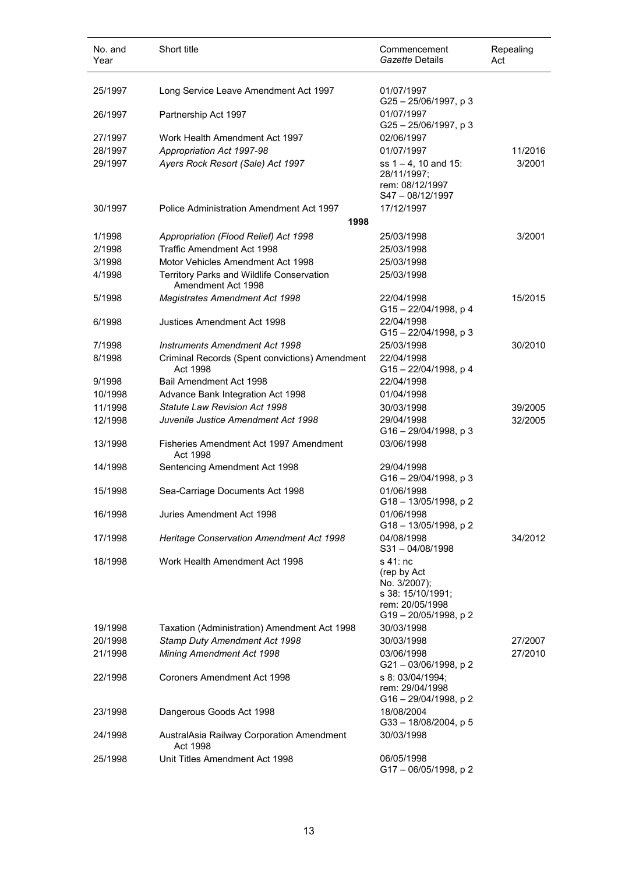| No. and<br>Year | Short title                                                     | Commencement<br>Gazette Details                                                                       | Repealing<br>Act |
|-----------------|-----------------------------------------------------------------|-------------------------------------------------------------------------------------------------------|------------------|
| 25/1997         | Long Service Leave Amendment Act 1997                           | 01/07/1997<br>G25-25/06/1997, p3                                                                      |                  |
| 26/1997         | Partnership Act 1997                                            | 01/07/1997<br>G25-25/06/1997, p3                                                                      |                  |
| 27/1997         | Work Health Amendment Act 1997                                  | 02/06/1997                                                                                            |                  |
| 28/1997         | Appropriation Act 1997-98                                       | 01/07/1997                                                                                            | 11/2016          |
| 29/1997         | Ayers Rock Resort (Sale) Act 1997                               | ss $1 - 4$ , 10 and 15:<br>28/11/1997;<br>rem: 08/12/1997<br>S47-08/12/1997                           | 3/2001           |
| 30/1997         | Police Administration Amendment Act 1997                        | 17/12/1997                                                                                            |                  |
|                 | 1998                                                            |                                                                                                       |                  |
| 1/1998          | Appropriation (Flood Relief) Act 1998                           | 25/03/1998                                                                                            | 3/2001           |
| 2/1998          | <b>Traffic Amendment Act 1998</b>                               | 25/03/1998                                                                                            |                  |
| 3/1998          | Motor Vehicles Amendment Act 1998                               | 25/03/1998                                                                                            |                  |
| 4/1998          | Territory Parks and Wildlife Conservation<br>Amendment Act 1998 | 25/03/1998                                                                                            |                  |
| 5/1998          | <b>Magistrates Amendment Act 1998</b>                           | 22/04/1998<br>G15-22/04/1998, p 4                                                                     | 15/2015          |
| 6/1998          | Justices Amendment Act 1998                                     | 22/04/1998<br>$G15 - 22/04/1998$ , p 3                                                                |                  |
| 7/1998          | <b>Instruments Amendment Act 1998</b>                           | 25/03/1998                                                                                            | 30/2010          |
| 8/1998          | Criminal Records (Spent convictions) Amendment<br>Act 1998      | 22/04/1998<br>G15-22/04/1998, p 4                                                                     |                  |
| 9/1998          | Bail Amendment Act 1998                                         | 22/04/1998                                                                                            |                  |
| 10/1998         | Advance Bank Integration Act 1998                               | 01/04/1998                                                                                            |                  |
| 11/1998         | <b>Statute Law Revision Act 1998</b>                            | 30/03/1998                                                                                            | 39/2005          |
| 12/1998         | Juvenile Justice Amendment Act 1998                             | 29/04/1998<br>$G16 - 29/04/1998$ , p 3                                                                | 32/2005          |
| 13/1998         | Fisheries Amendment Act 1997 Amendment<br>Act 1998              | 03/06/1998                                                                                            |                  |
| 14/1998         | Sentencing Amendment Act 1998                                   | 29/04/1998<br>G16-29/04/1998, p3                                                                      |                  |
| 15/1998         | Sea-Carriage Documents Act 1998                                 | 01/06/1998<br>G18 - 13/05/1998, p 2                                                                   |                  |
| 16/1998         | Juries Amendment Act 1998                                       | 01/06/1998<br>G18-13/05/1998, p2                                                                      |                  |
| 17/1998         | Heritage Conservation Amendment Act 1998                        | 04/08/1998<br>$S31 - 04/08/1998$                                                                      | 34/2012          |
| 18/1998         | Work Health Amendment Act 1998                                  | s 41: nc<br>(rep by Act<br>No. 3/2007);<br>s 38: 15/10/1991;<br>rem: 20/05/1998<br>G19-20/05/1998, p2 |                  |
| 19/1998         | Taxation (Administration) Amendment Act 1998                    | 30/03/1998                                                                                            |                  |
| 20/1998         | Stamp Duty Amendment Act 1998                                   | 30/03/1998                                                                                            | 27/2007          |
| 21/1998         | Mining Amendment Act 1998                                       | 03/06/1998<br>G21-03/06/1998, p2                                                                      | 27/2010          |
| 22/1998         | <b>Coroners Amendment Act 1998</b>                              | s 8: 03/04/1994;<br>rem: 29/04/1998<br>G16-29/04/1998, p2                                             |                  |
| 23/1998         | Dangerous Goods Act 1998                                        | 18/08/2004<br>$G33 - 18/08/2004$ , p 5                                                                |                  |
| 24/1998         | AustralAsia Railway Corporation Amendment<br>Act 1998           | 30/03/1998                                                                                            |                  |
| 25/1998         | Unit Titles Amendment Act 1998                                  | 06/05/1998<br>G17-06/05/1998, p2                                                                      |                  |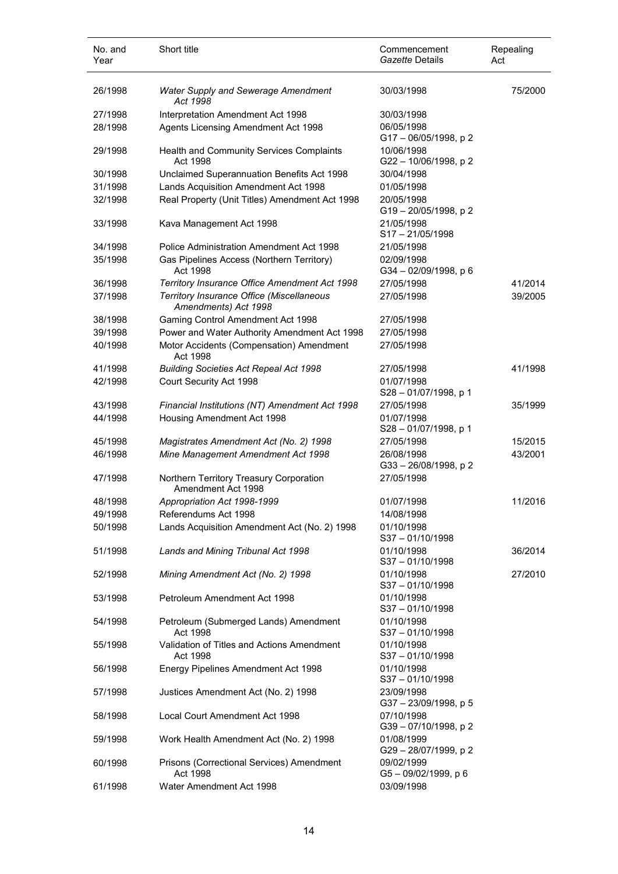| No. and<br>Year | Short title                                                       | Commencement<br>Gazette Details     | Repealing<br>Act |
|-----------------|-------------------------------------------------------------------|-------------------------------------|------------------|
| 26/1998         | <b>Water Supply and Sewerage Amendment</b><br>Act 1998            | 30/03/1998                          | 75/2000          |
| 27/1998         | Interpretation Amendment Act 1998                                 | 30/03/1998                          |                  |
| 28/1998         | Agents Licensing Amendment Act 1998                               | 06/05/1998<br>G17-06/05/1998, p2    |                  |
| 29/1998         | Health and Community Services Complaints<br>Act 1998              | 10/06/1998<br>G22 - 10/06/1998, p 2 |                  |
| 30/1998         | Unclaimed Superannuation Benefits Act 1998                        | 30/04/1998                          |                  |
| 31/1998         | Lands Acquisition Amendment Act 1998                              | 01/05/1998                          |                  |
| 32/1998         | Real Property (Unit Titles) Amendment Act 1998                    | 20/05/1998<br>G19-20/05/1998, p2    |                  |
| 33/1998         | Kava Management Act 1998                                          | 21/05/1998<br>$S17 - 21/05/1998$    |                  |
| 34/1998         | Police Administration Amendment Act 1998                          | 21/05/1998                          |                  |
| 35/1998         | Gas Pipelines Access (Northern Territory)<br>Act 1998             | 02/09/1998<br>G34-02/09/1998, p 6   |                  |
| 36/1998         | Territory Insurance Office Amendment Act 1998                     | 27/05/1998                          | 41/2014          |
| 37/1998         | Territory Insurance Office (Miscellaneous<br>Amendments) Act 1998 | 27/05/1998                          | 39/2005          |
| 38/1998         | Gaming Control Amendment Act 1998                                 | 27/05/1998                          |                  |
| 39/1998         | Power and Water Authority Amendment Act 1998                      | 27/05/1998                          |                  |
| 40/1998         | Motor Accidents (Compensation) Amendment<br>Act 1998              | 27/05/1998                          |                  |
| 41/1998         | <b>Building Societies Act Repeal Act 1998</b>                     | 27/05/1998                          | 41/1998          |
| 42/1998         | Court Security Act 1998                                           | 01/07/1998<br>S28-01/07/1998, p 1   |                  |
| 43/1998         | Financial Institutions (NT) Amendment Act 1998                    | 27/05/1998                          | 35/1999          |
| 44/1998         | Housing Amendment Act 1998                                        | 01/07/1998<br>S28-01/07/1998, p 1   |                  |
| 45/1998         | Magistrates Amendment Act (No. 2) 1998                            | 27/05/1998                          | 15/2015          |
| 46/1998         | Mine Management Amendment Act 1998                                | 26/08/1998<br>G33-26/08/1998, p2    | 43/2001          |
| 47/1998         | Northern Territory Treasury Corporation<br>Amendment Act 1998     | 27/05/1998                          |                  |
| 48/1998         | Appropriation Act 1998-1999                                       | 01/07/1998                          | 11/2016          |
| 49/1998         | Referendums Act 1998                                              | 14/08/1998                          |                  |
| 50/1998         | Lands Acquisition Amendment Act (No. 2) 1998                      | 01/10/1998<br>$S37 - 01/10/1998$    |                  |
| 51/1998         | Lands and Mining Tribunal Act 1998                                | 01/10/1998<br>S37-01/10/1998        | 36/2014          |
| 52/1998         | Mining Amendment Act (No. 2) 1998                                 | 01/10/1998<br>S37-01/10/1998        | 27/2010          |
| 53/1998         | Petroleum Amendment Act 1998                                      | 01/10/1998<br>S37-01/10/1998        |                  |
| 54/1998         | Petroleum (Submerged Lands) Amendment<br>Act 1998                 | 01/10/1998<br>$S37 - 01/10/1998$    |                  |
| 55/1998         | Validation of Titles and Actions Amendment<br>Act 1998            | 01/10/1998<br>S37-01/10/1998        |                  |
| 56/1998         | Energy Pipelines Amendment Act 1998                               | 01/10/1998<br>S37-01/10/1998        |                  |
| 57/1998         | Justices Amendment Act (No. 2) 1998                               | 23/09/1998<br>G37-23/09/1998, p 5   |                  |
| 58/1998         | Local Court Amendment Act 1998                                    | 07/10/1998<br>G39 - 07/10/1998, p 2 |                  |
| 59/1998         | Work Health Amendment Act (No. 2) 1998                            | 01/08/1999<br>G29-28/07/1999, p2    |                  |
| 60/1998         | Prisons (Correctional Services) Amendment<br>Act 1998             | 09/02/1999<br>G5-09/02/1999, p 6    |                  |
| 61/1998         | Water Amendment Act 1998                                          | 03/09/1998                          |                  |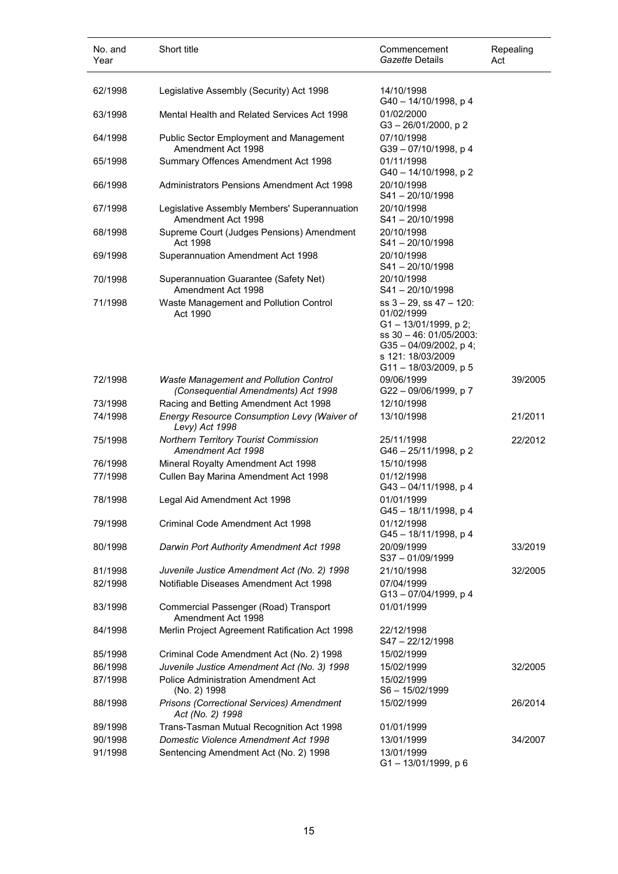| No. and<br>Year | Short title                                                                          | Commencement<br>Gazette Details                                                                                                                             | Repealing<br>Act |
|-----------------|--------------------------------------------------------------------------------------|-------------------------------------------------------------------------------------------------------------------------------------------------------------|------------------|
| 62/1998         | Legislative Assembly (Security) Act 1998                                             | 14/10/1998                                                                                                                                                  |                  |
| 63/1998         | Mental Health and Related Services Act 1998                                          | G40 - 14/10/1998, p 4<br>01/02/2000<br>G3-26/01/2000, p2                                                                                                    |                  |
| 64/1998         | <b>Public Sector Employment and Management</b><br>Amendment Act 1998                 | 07/10/1998<br>G39-07/10/1998, p4                                                                                                                            |                  |
| 65/1998         | Summary Offences Amendment Act 1998                                                  | 01/11/1998<br>G40 - 14/10/1998, p 2                                                                                                                         |                  |
| 66/1998         | <b>Administrators Pensions Amendment Act 1998</b>                                    | 20/10/1998<br>$S41 - 20/10/1998$                                                                                                                            |                  |
| 67/1998         | Legislative Assembly Members' Superannuation<br>Amendment Act 1998                   | 20/10/1998<br>$S41 - 20/10/1998$                                                                                                                            |                  |
| 68/1998         | Supreme Court (Judges Pensions) Amendment<br>Act 1998                                | 20/10/1998<br>$S41 - 20/10/1998$                                                                                                                            |                  |
| 69/1998         | Superannuation Amendment Act 1998                                                    | 20/10/1998<br>$S41 - 20/10/1998$                                                                                                                            |                  |
| 70/1998         | Superannuation Guarantee (Safety Net)<br>Amendment Act 1998                          | 20/10/1998<br>$S41 - 20/10/1998$                                                                                                                            |                  |
| 71/1998         | Waste Management and Pollution Control<br>Act 1990                                   | $ss$ 3 - 29, ss 47 - 120:<br>01/02/1999<br>G1-13/01/1999, p2;<br>ss 30 - 46: 01/05/2003:<br>G35-04/09/2002, p4;<br>s 121: 18/03/2009<br>G11-18/03/2009, p 5 |                  |
| 72/1998         | <b>Waste Management and Pollution Control</b><br>(Consequential Amendments) Act 1998 | 09/06/1999<br>G22 - 09/06/1999, p 7                                                                                                                         | 39/2005          |
| 73/1998         | Racing and Betting Amendment Act 1998                                                | 12/10/1998                                                                                                                                                  |                  |
| 74/1998         | Energy Resource Consumption Levy (Waiver of<br>Levy) Act 1998                        | 13/10/1998                                                                                                                                                  | 21/2011          |
| 75/1998         | Northern Territory Tourist Commission<br>Amendment Act 1998                          | 25/11/1998<br>G46 - 25/11/1998, p 2                                                                                                                         | 22/2012          |
| 76/1998         | Mineral Royalty Amendment Act 1998                                                   | 15/10/1998                                                                                                                                                  |                  |
| 77/1998         | Cullen Bay Marina Amendment Act 1998                                                 | 01/12/1998<br>G43 - 04/11/1998, p 4                                                                                                                         |                  |
| 78/1998         | Legal Aid Amendment Act 1998                                                         | 01/01/1999<br>G45-18/11/1998, p4                                                                                                                            |                  |
| 79/1998         | Criminal Code Amendment Act 1998                                                     | 01/12/1998<br>G45 - 18/11/1998, p 4                                                                                                                         |                  |
| 80/1998         | Darwin Port Authority Amendment Act 1998                                             | 20/09/1999<br>S37-01/09/1999                                                                                                                                | 33/2019          |
| 81/1998         | Juvenile Justice Amendment Act (No. 2) 1998                                          | 21/10/1998                                                                                                                                                  | 32/2005          |
| 82/1998         | Notifiable Diseases Amendment Act 1998                                               | 07/04/1999                                                                                                                                                  |                  |
| 83/1998         | Commercial Passenger (Road) Transport<br>Amendment Act 1998                          | G13-07/04/1999, p4<br>01/01/1999                                                                                                                            |                  |
| 84/1998         | Merlin Project Agreement Ratification Act 1998                                       | 22/12/1998<br>S47-22/12/1998                                                                                                                                |                  |
| 85/1998         | Criminal Code Amendment Act (No. 2) 1998                                             | 15/02/1999                                                                                                                                                  |                  |
| 86/1998         | Juvenile Justice Amendment Act (No. 3) 1998                                          | 15/02/1999                                                                                                                                                  | 32/2005          |
| 87/1998         | <b>Police Administration Amendment Act</b><br>(No. 2) 1998                           | 15/02/1999<br>S6-15/02/1999                                                                                                                                 |                  |
| 88/1998         | Prisons (Correctional Services) Amendment<br>Act (No. 2) 1998                        | 15/02/1999                                                                                                                                                  | 26/2014          |
| 89/1998         | Trans-Tasman Mutual Recognition Act 1998                                             | 01/01/1999                                                                                                                                                  |                  |
| 90/1998         | <b>Domestic Violence Amendment Act 1998</b>                                          | 13/01/1999                                                                                                                                                  | 34/2007          |
| 91/1998         | Sentencing Amendment Act (No. 2) 1998                                                | 13/01/1999<br>G1-13/01/1999, p 6                                                                                                                            |                  |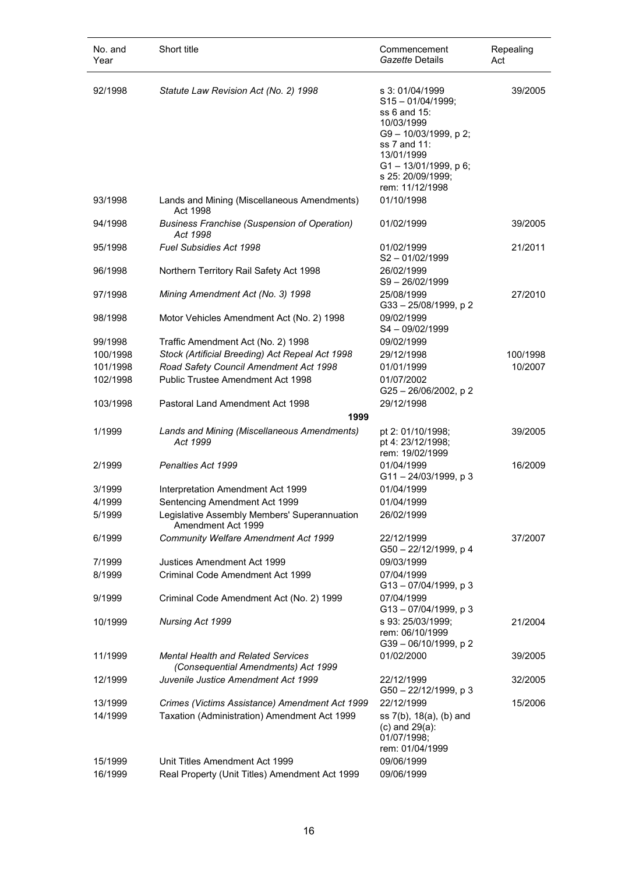| No. and<br>Year    | Short title                                                                          | Commencement<br>Gazette Details                                                                                                                                                                       | Repealing<br>Act |
|--------------------|--------------------------------------------------------------------------------------|-------------------------------------------------------------------------------------------------------------------------------------------------------------------------------------------------------|------------------|
| 92/1998<br>93/1998 | Statute Law Revision Act (No. 2) 1998<br>Lands and Mining (Miscellaneous Amendments) | s 3:01/04/1999<br>$S15 - 01/04/1999;$<br>ss 6 and 15:<br>10/03/1999<br>G9-10/03/1999, p 2;<br>ss 7 and 11:<br>13/01/1999<br>G1-13/01/1999, p 6;<br>s 25: 20/09/1999;<br>rem: 11/12/1998<br>01/10/1998 | 39/2005          |
| 94/1998            | Act 1998<br><b>Business Franchise (Suspension of Operation)</b>                      | 01/02/1999                                                                                                                                                                                            | 39/2005          |
| 95/1998            | Act 1998<br><b>Fuel Subsidies Act 1998</b>                                           | 01/02/1999                                                                                                                                                                                            | 21/2011          |
| 96/1998            | Northern Territory Rail Safety Act 1998                                              | $S2 - 01/02/1999$<br>26/02/1999<br>$S9 - 26/02/1999$                                                                                                                                                  |                  |
| 97/1998            | Mining Amendment Act (No. 3) 1998                                                    | 25/08/1999<br>G33-25/08/1999, p2                                                                                                                                                                      | 27/2010          |
| 98/1998            | Motor Vehicles Amendment Act (No. 2) 1998                                            | 09/02/1999<br>$S4 - 09/02/1999$                                                                                                                                                                       |                  |
| 99/1998            | Traffic Amendment Act (No. 2) 1998                                                   | 09/02/1999                                                                                                                                                                                            |                  |
| 100/1998           | Stock (Artificial Breeding) Act Repeal Act 1998                                      | 29/12/1998                                                                                                                                                                                            | 100/1998         |
| 101/1998           | Road Safety Council Amendment Act 1998                                               | 01/01/1999                                                                                                                                                                                            | 10/2007          |
| 102/1998           | Public Trustee Amendment Act 1998                                                    | 01/07/2002<br>G25-26/06/2002, p2                                                                                                                                                                      |                  |
| 103/1998           | Pastoral Land Amendment Act 1998                                                     | 29/12/1998                                                                                                                                                                                            |                  |
|                    | 1999                                                                                 |                                                                                                                                                                                                       |                  |
| 1/1999             | Lands and Mining (Miscellaneous Amendments)<br>Act 1999                              | pt 2: 01/10/1998;<br>pt 4: 23/12/1998;<br>rem: 19/02/1999                                                                                                                                             | 39/2005          |
| 2/1999             | Penalties Act 1999                                                                   | 01/04/1999<br>G11-24/03/1999, p 3                                                                                                                                                                     | 16/2009          |
| 3/1999             | Interpretation Amendment Act 1999                                                    | 01/04/1999                                                                                                                                                                                            |                  |
| 4/1999             | Sentencing Amendment Act 1999                                                        | 01/04/1999                                                                                                                                                                                            |                  |
| 5/1999             | Legislative Assembly Members' Superannuation<br>Amendment Act 1999                   | 26/02/1999                                                                                                                                                                                            |                  |
| 6/1999             | <b>Community Welfare Amendment Act 1999</b>                                          | 22/12/1999<br>G50 - 22/12/1999, p 4                                                                                                                                                                   | 37/2007          |
| 7/1999             | Justices Amendment Act 1999                                                          | 09/03/1999                                                                                                                                                                                            |                  |
| 8/1999             | Criminal Code Amendment Act 1999                                                     | 07/04/1999<br>G13 - 07/04/1999, p 3                                                                                                                                                                   |                  |
| 9/1999             | Criminal Code Amendment Act (No. 2) 1999                                             | 07/04/1999<br>G13-07/04/1999, p 3                                                                                                                                                                     |                  |
| 10/1999            | Nursing Act 1999                                                                     | s 93: 25/03/1999;<br>rem: 06/10/1999<br>G39-06/10/1999, p2                                                                                                                                            | 21/2004          |
| 11/1999            | <b>Mental Health and Related Services</b><br>(Consequential Amendments) Act 1999     | 01/02/2000                                                                                                                                                                                            | 39/2005          |
| 12/1999            | Juvenile Justice Amendment Act 1999                                                  | 22/12/1999<br>G50 - 22/12/1999, p 3                                                                                                                                                                   | 32/2005          |
| 13/1999            | Crimes (Victims Assistance) Amendment Act 1999                                       | 22/12/1999                                                                                                                                                                                            | 15/2006          |
| 14/1999            | Taxation (Administration) Amendment Act 1999                                         | ss 7(b), 18(a), (b) and<br>$(c)$ and $29(a)$ :<br>01/07/1998;<br>rem: 01/04/1999                                                                                                                      |                  |
| 15/1999            | Unit Titles Amendment Act 1999                                                       | 09/06/1999                                                                                                                                                                                            |                  |
| 16/1999            | Real Property (Unit Titles) Amendment Act 1999                                       | 09/06/1999                                                                                                                                                                                            |                  |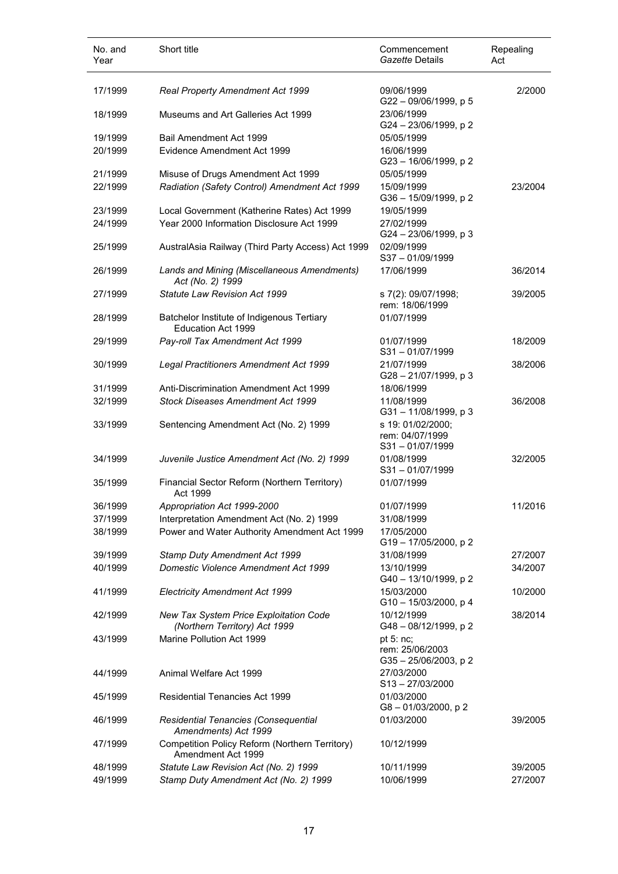| No. and<br>Year | Short title                                                             | Commencement<br>Gazette Details                            | Repealing<br>Act |
|-----------------|-------------------------------------------------------------------------|------------------------------------------------------------|------------------|
| 17/1999         | Real Property Amendment Act 1999                                        | 09/06/1999<br>G22-09/06/1999, p 5                          | 2/2000           |
| 18/1999         | Museums and Art Galleries Act 1999                                      | 23/06/1999<br>G24-23/06/1999, p2                           |                  |
| 19/1999         | Bail Amendment Act 1999                                                 | 05/05/1999                                                 |                  |
| 20/1999         | Evidence Amendment Act 1999                                             | 16/06/1999<br>G23 - 16/06/1999, p 2                        |                  |
| 21/1999         | Misuse of Drugs Amendment Act 1999                                      | 05/05/1999                                                 |                  |
| 22/1999         | Radiation (Safety Control) Amendment Act 1999                           | 15/09/1999<br>G36 - 15/09/1999, p 2                        | 23/2004          |
| 23/1999         | Local Government (Katherine Rates) Act 1999                             | 19/05/1999                                                 |                  |
| 24/1999         | Year 2000 Information Disclosure Act 1999                               | 27/02/1999<br>G24 - 23/06/1999, p 3                        |                  |
| 25/1999         | AustralAsia Railway (Third Party Access) Act 1999                       | 02/09/1999<br>S37-01/09/1999                               |                  |
| 26/1999         | Lands and Mining (Miscellaneous Amendments)<br>Act (No. 2) 1999         | 17/06/1999                                                 | 36/2014          |
| 27/1999         | Statute Law Revision Act 1999                                           | s 7(2): 09/07/1998;<br>rem: 18/06/1999                     | 39/2005          |
| 28/1999         | Batchelor Institute of Indigenous Tertiary<br>Education Act 1999        | 01/07/1999                                                 |                  |
| 29/1999         | Pay-roll Tax Amendment Act 1999                                         | 01/07/1999<br>S31-01/07/1999                               | 18/2009          |
| 30/1999         | Legal Practitioners Amendment Act 1999                                  | 21/07/1999<br>G28-21/07/1999, p 3                          | 38/2006          |
| 31/1999         | Anti-Discrimination Amendment Act 1999                                  | 18/06/1999                                                 |                  |
| 32/1999         | <b>Stock Diseases Amendment Act 1999</b>                                | 11/08/1999<br>$G31 - 11/08/1999$ , p 3                     | 36/2008          |
| 33/1999         | Sentencing Amendment Act (No. 2) 1999                                   | s 19: 01/02/2000;<br>rem: 04/07/1999<br>$S31 - 01/07/1999$ |                  |
| 34/1999         | Juvenile Justice Amendment Act (No. 2) 1999                             | 01/08/1999<br>$S31 - 01/07/1999$                           | 32/2005          |
| 35/1999         | Financial Sector Reform (Northern Territory)<br>Act 1999                | 01/07/1999                                                 |                  |
| 36/1999         | Appropriation Act 1999-2000                                             | 01/07/1999                                                 | 11/2016          |
| 37/1999         | Interpretation Amendment Act (No. 2) 1999                               | 31/08/1999                                                 |                  |
| 38/1999         | Power and Water Authority Amendment Act 1999                            | 17/05/2000<br>G19-17/05/2000, p2                           |                  |
| 39/1999         | Stamp Duty Amendment Act 1999                                           | 31/08/1999                                                 | 27/2007          |
| 40/1999         | <b>Domestic Violence Amendment Act 1999</b>                             | 13/10/1999<br>G40 - 13/10/1999, p 2                        | 34/2007          |
| 41/1999         | <b>Electricity Amendment Act 1999</b>                                   | 15/03/2000<br>$G10 - 15/03/2000$ , p 4                     | 10/2000          |
| 42/1999         | New Tax System Price Exploitation Code<br>(Northern Territory) Act 1999 | 10/12/1999<br>G48 - 08/12/1999, p 2                        | 38/2014          |
| 43/1999         | Marine Pollution Act 1999                                               | pt $5:nc;$<br>rem: 25/06/2003<br>G35-25/06/2003, p2        |                  |
| 44/1999         | Animal Welfare Act 1999                                                 | 27/03/2000<br>S13-27/03/2000                               |                  |
| 45/1999         | Residential Tenancies Act 1999                                          | 01/03/2000<br>G8-01/03/2000, p2                            |                  |
| 46/1999         | Residential Tenancies (Consequential<br>Amendments) Act 1999            | 01/03/2000                                                 | 39/2005          |
| 47/1999         | Competition Policy Reform (Northern Territory)<br>Amendment Act 1999    | 10/12/1999                                                 |                  |
| 48/1999         | Statute Law Revision Act (No. 2) 1999                                   | 10/11/1999                                                 | 39/2005          |
| 49/1999         | Stamp Duty Amendment Act (No. 2) 1999                                   | 10/06/1999                                                 | 27/2007          |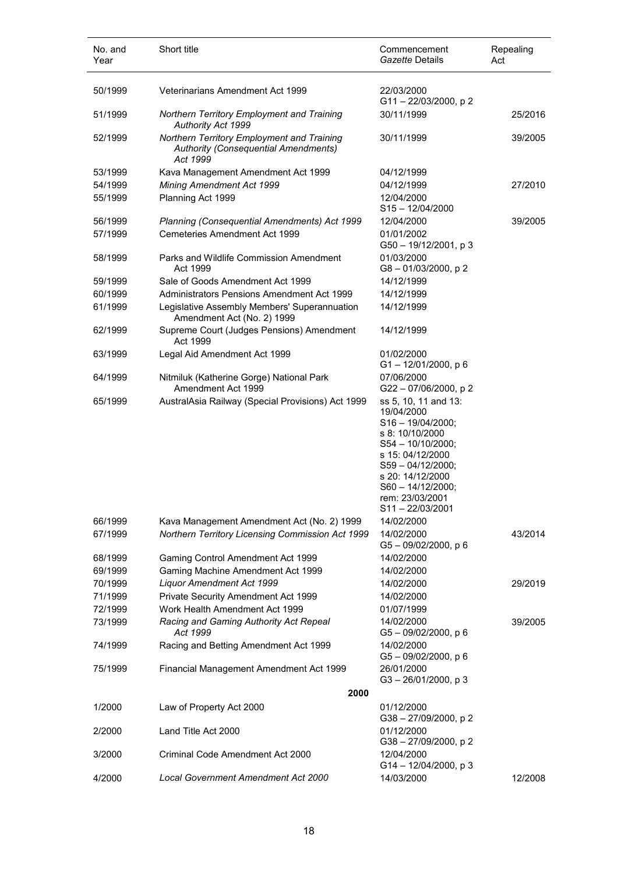| No. and<br>Year | Short title                                                                                           | Commencement<br>Gazette Details                                                                                                                                                                                              | Repealing<br>Act |
|-----------------|-------------------------------------------------------------------------------------------------------|------------------------------------------------------------------------------------------------------------------------------------------------------------------------------------------------------------------------------|------------------|
| 50/1999         | Veterinarians Amendment Act 1999                                                                      | 22/03/2000<br>$G11 - 22/03/2000$ , p 2                                                                                                                                                                                       |                  |
| 51/1999         | <b>Northern Territory Employment and Training</b><br>Authority Act 1999                               | 30/11/1999                                                                                                                                                                                                                   | 25/2016          |
| 52/1999         | Northern Territory Employment and Training<br><b>Authority (Consequential Amendments)</b><br>Act 1999 | 30/11/1999                                                                                                                                                                                                                   | 39/2005          |
| 53/1999         | Kava Management Amendment Act 1999                                                                    | 04/12/1999                                                                                                                                                                                                                   |                  |
| 54/1999         | <b>Mining Amendment Act 1999</b>                                                                      | 04/12/1999                                                                                                                                                                                                                   | 27/2010          |
| 55/1999         | Planning Act 1999                                                                                     | 12/04/2000<br>$S15 - 12/04/2000$                                                                                                                                                                                             |                  |
| 56/1999         | Planning (Consequential Amendments) Act 1999                                                          | 12/04/2000                                                                                                                                                                                                                   | 39/2005          |
| 57/1999         | <b>Cemeteries Amendment Act 1999</b>                                                                  | 01/01/2002<br>$G50 - 19/12/2001$ , p 3                                                                                                                                                                                       |                  |
| 58/1999         | Parks and Wildlife Commission Amendment<br>Act 1999                                                   | 01/03/2000<br>G8-01/03/2000, p2                                                                                                                                                                                              |                  |
| 59/1999         | Sale of Goods Amendment Act 1999                                                                      | 14/12/1999                                                                                                                                                                                                                   |                  |
| 60/1999         | Administrators Pensions Amendment Act 1999                                                            | 14/12/1999                                                                                                                                                                                                                   |                  |
| 61/1999         | Legislative Assembly Members' Superannuation<br>Amendment Act (No. 2) 1999                            | 14/12/1999                                                                                                                                                                                                                   |                  |
| 62/1999         | Supreme Court (Judges Pensions) Amendment<br>Act 1999                                                 | 14/12/1999                                                                                                                                                                                                                   |                  |
| 63/1999         | Legal Aid Amendment Act 1999                                                                          | 01/02/2000<br>$G1 - 12/01/2000$ , p 6                                                                                                                                                                                        |                  |
| 64/1999         | Nitmiluk (Katherine Gorge) National Park<br>Amendment Act 1999                                        | 07/06/2000<br>G22-07/06/2000, p2                                                                                                                                                                                             |                  |
| 65/1999         | AustralAsia Railway (Special Provisions) Act 1999                                                     | ss 5, 10, 11 and 13:<br>19/04/2000<br>$S16 - 19/04/2000;$<br>s 8: 10/10/2000<br>S54 - 10/10/2000;<br>s 15: 04/12/2000<br>$S59 - 04/12/2000;$<br>s 20: 14/12/2000<br>S60 - 14/12/2000;<br>rem: 23/03/2001<br>S11 – 22/03/2001 |                  |
| 66/1999         | Kava Management Amendment Act (No. 2) 1999                                                            | 14/02/2000                                                                                                                                                                                                                   |                  |
| 67/1999         | Northern Territory Licensing Commission Act 1999                                                      | 14/02/2000<br>$G5 - 09/02/2000$ , p 6                                                                                                                                                                                        | 43/2014          |
| 68/1999         | Gaming Control Amendment Act 1999                                                                     | 14/02/2000                                                                                                                                                                                                                   |                  |
| 69/1999         | Gaming Machine Amendment Act 1999                                                                     | 14/02/2000                                                                                                                                                                                                                   |                  |
| 70/1999         | <b>Liquor Amendment Act 1999</b>                                                                      | 14/02/2000                                                                                                                                                                                                                   | 29/2019          |
| 71/1999         | Private Security Amendment Act 1999                                                                   | 14/02/2000                                                                                                                                                                                                                   |                  |
| 72/1999         | Work Health Amendment Act 1999                                                                        | 01/07/1999<br>14/02/2000                                                                                                                                                                                                     | 39/2005          |
| 73/1999         | Racing and Gaming Authority Act Repeal<br>Act 1999                                                    | $G5 - 09/02/2000$ , p 6                                                                                                                                                                                                      |                  |
| 74/1999         | Racing and Betting Amendment Act 1999                                                                 | 14/02/2000<br>G5-09/02/2000, p6                                                                                                                                                                                              |                  |
| 75/1999         | Financial Management Amendment Act 1999                                                               | 26/01/2000<br>$G3 - 26/01/2000$ , p 3                                                                                                                                                                                        |                  |
|                 | 2000                                                                                                  |                                                                                                                                                                                                                              |                  |
| 1/2000          | Law of Property Act 2000                                                                              | 01/12/2000<br>G38-27/09/2000, p2                                                                                                                                                                                             |                  |
| 2/2000          | Land Title Act 2000                                                                                   | 01/12/2000<br>G38-27/09/2000, p2                                                                                                                                                                                             |                  |
| 3/2000          | Criminal Code Amendment Act 2000                                                                      | 12/04/2000<br>G14-12/04/2000, p3                                                                                                                                                                                             |                  |
| 4/2000          | Local Government Amendment Act 2000                                                                   | 14/03/2000                                                                                                                                                                                                                   | 12/2008          |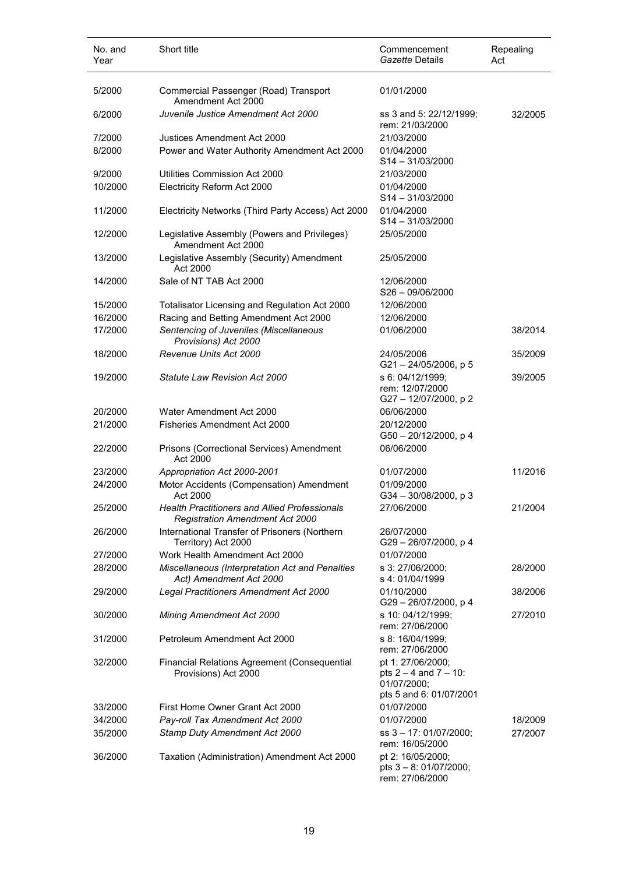| No. and<br>Year | Short title                                                                                    | Commencement<br>Gazette Details                                                           | Repealing<br>Act |
|-----------------|------------------------------------------------------------------------------------------------|-------------------------------------------------------------------------------------------|------------------|
| 5/2000          | Commercial Passenger (Road) Transport<br>Amendment Act 2000                                    | 01/01/2000                                                                                |                  |
| 6/2000          | Juvenile Justice Amendment Act 2000                                                            | ss 3 and 5: 22/12/1999;<br>rem: 21/03/2000                                                | 32/2005          |
| 7/2000          | Justices Amendment Act 2000                                                                    | 21/03/2000                                                                                |                  |
| 8/2000          | Power and Water Authority Amendment Act 2000                                                   | 01/04/2000<br>$S14 - 31/03/2000$                                                          |                  |
| 9/2000          | Utilities Commission Act 2000                                                                  | 21/03/2000                                                                                |                  |
| 10/2000         | Electricity Reform Act 2000                                                                    | 01/04/2000<br>$S14 - 31/03/2000$                                                          |                  |
| 11/2000         | Electricity Networks (Third Party Access) Act 2000                                             | 01/04/2000<br>$S14 - 31/03/2000$                                                          |                  |
| 12/2000         | Legislative Assembly (Powers and Privileges)<br>Amendment Act 2000                             | 25/05/2000                                                                                |                  |
| 13/2000         | Legislative Assembly (Security) Amendment<br>Act 2000                                          | 25/05/2000                                                                                |                  |
| 14/2000         | Sale of NT TAB Act 2000                                                                        | 12/06/2000<br>$S26 - 09/06/2000$                                                          |                  |
| 15/2000         | Totalisator Licensing and Regulation Act 2000                                                  | 12/06/2000                                                                                |                  |
| 16/2000         | Racing and Betting Amendment Act 2000                                                          | 12/06/2000                                                                                |                  |
| 17/2000         | Sentencing of Juveniles (Miscellaneous<br>Provisions) Act 2000                                 | 01/06/2000                                                                                | 38/2014          |
| 18/2000         | Revenue Units Act 2000                                                                         | 24/05/2006<br>$G21 - 24/05/2006$ , p 5                                                    | 35/2009          |
| 19/2000         | <b>Statute Law Revision Act 2000</b>                                                           | s 6: 04/12/1999;<br>rem: 12/07/2000<br>G27-12/07/2000, p2                                 | 39/2005          |
| 20/2000         | Water Amendment Act 2000                                                                       | 06/06/2000                                                                                |                  |
| 21/2000         | Fisheries Amendment Act 2000                                                                   | 20/12/2000<br>G50 - 20/12/2000, p 4                                                       |                  |
| 22/2000         | Prisons (Correctional Services) Amendment<br>Act 2000                                          | 06/06/2000                                                                                |                  |
| 23/2000         | Appropriation Act 2000-2001                                                                    | 01/07/2000                                                                                | 11/2016          |
| 24/2000         | Motor Accidents (Compensation) Amendment<br>Act 2000                                           | 01/09/2000<br>$G34 - 30/08/2000$ , p 3                                                    |                  |
| 25/2000         | <b>Health Practitioners and Allied Professionals</b><br><b>Registration Amendment Act 2000</b> | 27/06/2000                                                                                | 21/2004          |
| 26/2000         | International Transfer of Prisoners (Northern<br>Territory) Act 2000                           | 26/07/2000<br>G29-26/07/2000, p 4                                                         |                  |
| 27/2000         | Work Health Amendment Act 2000                                                                 | 01/07/2000                                                                                |                  |
| 28/2000         | Miscellaneous (Interpretation Act and Penalties<br>Act) Amendment Act 2000                     | s 3: 27/06/2000;<br>s 4: 01/04/1999                                                       | 28/2000          |
| 29/2000         | Legal Practitioners Amendment Act 2000                                                         | 01/10/2000<br>G29 - 26/07/2000, p 4                                                       | 38/2006          |
| 30/2000         | Mining Amendment Act 2000                                                                      | s 10: 04/12/1999;<br>rem: 27/06/2000                                                      | 27/2010          |
| 31/2000         | Petroleum Amendment Act 2000                                                                   | s 8: 16/04/1999;<br>rem: 27/06/2000                                                       |                  |
| 32/2000         | Financial Relations Agreement (Consequential<br>Provisions) Act 2000                           | pt 1: 27/06/2000;<br>pts $2 - 4$ and $7 - 10$ :<br>01/07/2000;<br>pts 5 and 6: 01/07/2001 |                  |
| 33/2000         | First Home Owner Grant Act 2000                                                                | 01/07/2000                                                                                |                  |
| 34/2000         | Pay-roll Tax Amendment Act 2000                                                                | 01/07/2000                                                                                | 18/2009          |
| 35/2000         | Stamp Duty Amendment Act 2000                                                                  | ss 3 - 17: 01/07/2000;<br>rem: 16/05/2000                                                 | 27/2007          |
| 36/2000         | Taxation (Administration) Amendment Act 2000                                                   | pt 2: 16/05/2000;<br>pts 3 - 8: 01/07/2000;<br>rem: 27/06/2000                            |                  |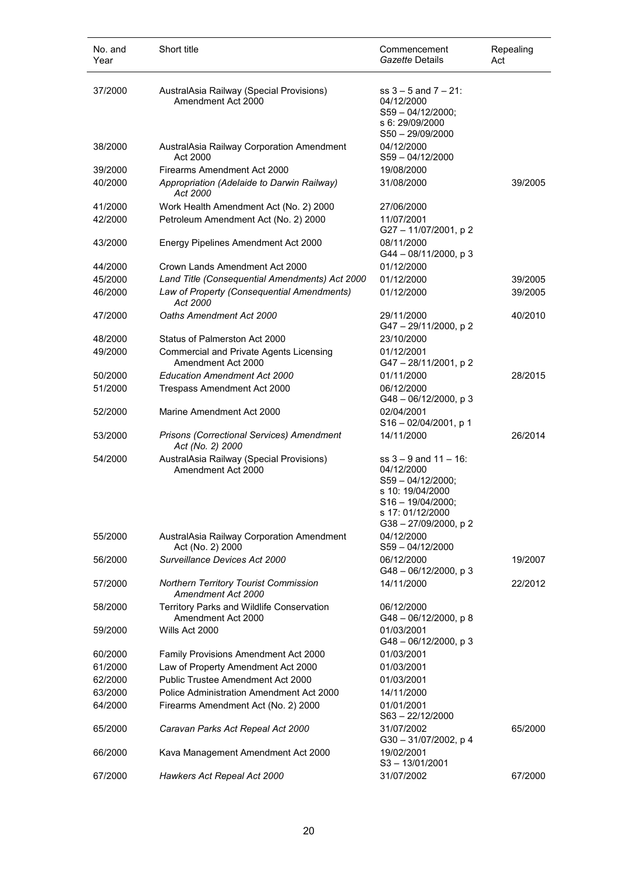| No. and<br>Year | Short title                                                          | Commencement<br>Gazette Details                                                                                                                     | Repealing<br>Act |
|-----------------|----------------------------------------------------------------------|-----------------------------------------------------------------------------------------------------------------------------------------------------|------------------|
| 37/2000         | AustralAsia Railway (Special Provisions)<br>Amendment Act 2000       | $ss 3 - 5$ and $7 - 21$ :<br>04/12/2000<br>S59-04/12/2000;<br>s 6: 29/09/2000<br>S50-29/09/2000                                                     |                  |
| 38/2000         | AustralAsia Railway Corporation Amendment<br>Act 2000                | 04/12/2000<br>$S59 - 04/12/2000$                                                                                                                    |                  |
| 39/2000         | Firearms Amendment Act 2000                                          | 19/08/2000                                                                                                                                          |                  |
| 40/2000         | Appropriation (Adelaide to Darwin Railway)<br>Act 2000               | 31/08/2000                                                                                                                                          | 39/2005          |
| 41/2000         | Work Health Amendment Act (No. 2) 2000                               | 27/06/2000                                                                                                                                          |                  |
| 42/2000         | Petroleum Amendment Act (No. 2) 2000                                 | 11/07/2001<br>G27 - 11/07/2001, p 2                                                                                                                 |                  |
| 43/2000         | Energy Pipelines Amendment Act 2000                                  | 08/11/2000<br>$G44 - 08/11/2000$ , p 3                                                                                                              |                  |
| 44/2000         | Crown Lands Amendment Act 2000                                       | 01/12/2000                                                                                                                                          |                  |
| 45/2000         | Land Title (Consequential Amendments) Act 2000                       | 01/12/2000                                                                                                                                          | 39/2005          |
| 46/2000         | Law of Property (Consequential Amendments)<br>Act 2000               | 01/12/2000                                                                                                                                          | 39/2005          |
| 47/2000         | Oaths Amendment Act 2000                                             | 29/11/2000<br>G47-29/11/2000, p2                                                                                                                    | 40/2010          |
| 48/2000         | Status of Palmerston Act 2000                                        | 23/10/2000                                                                                                                                          |                  |
| 49/2000         | <b>Commercial and Private Agents Licensing</b><br>Amendment Act 2000 | 01/12/2001<br>G47-28/11/2001, p2                                                                                                                    |                  |
| 50/2000         | <b>Education Amendment Act 2000</b>                                  | 01/11/2000                                                                                                                                          | 28/2015          |
| 51/2000         | Trespass Amendment Act 2000                                          | 06/12/2000<br>G48-06/12/2000, p3                                                                                                                    |                  |
| 52/2000         | Marine Amendment Act 2000                                            | 02/04/2001<br>S16-02/04/2001, p 1                                                                                                                   |                  |
| 53/2000         | Prisons (Correctional Services) Amendment<br>Act (No. 2) 2000        | 14/11/2000                                                                                                                                          | 26/2014          |
| 54/2000         | AustralAsia Railway (Special Provisions)<br>Amendment Act 2000       | $ss 3 - 9$ and $11 - 16$ :<br>04/12/2000<br>$S59 - 04/12/2000;$<br>s 10: 19/04/2000<br>$S16 - 19/04/2000$<br>s 17: 01/12/2000<br>G38-27/09/2000, p2 |                  |
| 55/2000         | AustralAsia Railway Corporation Amendment<br>Act (No. 2) 2000        | 04/12/2000<br>$S59 - 04/12/2000$                                                                                                                    |                  |
| 56/2000         | Surveillance Devices Act 2000                                        | 06/12/2000<br>$G48 - 06/12/2000$ , p 3                                                                                                              | 19/2007          |
| 57/2000         | Northern Territory Tourist Commission<br>Amendment Act 2000          | 14/11/2000                                                                                                                                          | 22/2012          |
| 58/2000         | Territory Parks and Wildlife Conservation<br>Amendment Act 2000      | 06/12/2000<br>G48-06/12/2000, p8                                                                                                                    |                  |
| 59/2000         | Wills Act 2000                                                       | 01/03/2001<br>G48-06/12/2000, p 3                                                                                                                   |                  |
| 60/2000         | Family Provisions Amendment Act 2000                                 | 01/03/2001                                                                                                                                          |                  |
| 61/2000         | Law of Property Amendment Act 2000                                   | 01/03/2001                                                                                                                                          |                  |
| 62/2000         | Public Trustee Amendment Act 2000                                    | 01/03/2001                                                                                                                                          |                  |
| 63/2000         | Police Administration Amendment Act 2000                             | 14/11/2000                                                                                                                                          |                  |
| 64/2000         | Firearms Amendment Act (No. 2) 2000                                  | 01/01/2001<br>$S63 - 22/12/2000$                                                                                                                    |                  |
| 65/2000         | Caravan Parks Act Repeal Act 2000                                    | 31/07/2002<br>G30-31/07/2002, p 4                                                                                                                   | 65/2000          |
| 66/2000         | Kava Management Amendment Act 2000                                   | 19/02/2001<br>S3-13/01/2001                                                                                                                         |                  |
| 67/2000         | Hawkers Act Repeal Act 2000                                          | 31/07/2002                                                                                                                                          | 67/2000          |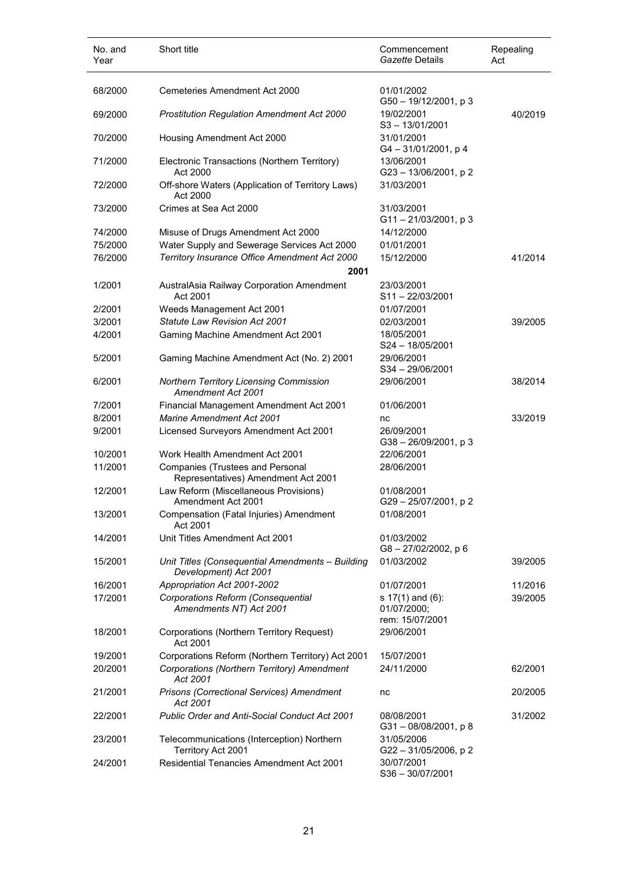| No. and<br>Year | Short title                                                                    | Commencement<br>Gazette Details        | Repealing<br>Act |
|-----------------|--------------------------------------------------------------------------------|----------------------------------------|------------------|
| 68/2000         | Cemeteries Amendment Act 2000                                                  | 01/01/2002<br>$G50 - 19/12/2001$ , p 3 |                  |
| 69/2000         | Prostitution Regulation Amendment Act 2000                                     | 19/02/2001<br>$S3 - 13/01/2001$        | 40/2019          |
| 70/2000         | Housing Amendment Act 2000                                                     | 31/01/2001<br>$G4 - 31/01/2001$ , p 4  |                  |
| 71/2000         | Electronic Transactions (Northern Territory)<br>Act 2000                       | 13/06/2001<br>G23-13/06/2001, p2       |                  |
| 72/2000         | Off-shore Waters (Application of Territory Laws)<br>Act 2000                   | 31/03/2001                             |                  |
| 73/2000         | Crimes at Sea Act 2000                                                         | 31/03/2001<br>$G11 - 21/03/2001$ , p 3 |                  |
| 74/2000         | Misuse of Drugs Amendment Act 2000                                             | 14/12/2000                             |                  |
| 75/2000         | Water Supply and Sewerage Services Act 2000                                    | 01/01/2001                             |                  |
| 76/2000         | Territory Insurance Office Amendment Act 2000                                  | 15/12/2000                             | 41/2014          |
|                 | 2001                                                                           |                                        |                  |
| 1/2001          | AustralAsia Railway Corporation Amendment                                      | 23/03/2001                             |                  |
|                 | Act 2001                                                                       | $S11 - 22/03/2001$                     |                  |
| 2/2001          | Weeds Management Act 2001                                                      | 01/07/2001                             |                  |
| 3/2001          | <b>Statute Law Revision Act 2001</b>                                           | 02/03/2001                             | 39/2005          |
| 4/2001          | Gaming Machine Amendment Act 2001                                              | 18/05/2001                             |                  |
|                 |                                                                                | S24 - 18/05/2001                       |                  |
| 5/2001          | Gaming Machine Amendment Act (No. 2) 2001                                      | 29/06/2001<br>S34-29/06/2001           |                  |
| 6/2001          | Northern Territory Licensing Commission<br>Amendment Act 2001                  | 29/06/2001                             | 38/2014          |
| 7/2001          | Financial Management Amendment Act 2001                                        | 01/06/2001                             |                  |
| 8/2001          | <b>Marine Amendment Act 2001</b>                                               | nc                                     | 33/2019          |
| 9/2001          |                                                                                | 26/09/2001                             |                  |
|                 | Licensed Surveyors Amendment Act 2001                                          | $G38 - 26/09/2001$ , p 3               |                  |
| 10/2001         | Work Health Amendment Act 2001                                                 | 22/06/2001                             |                  |
| 11/2001         | <b>Companies (Trustees and Personal</b><br>Representatives) Amendment Act 2001 | 28/06/2001                             |                  |
| 12/2001         | Law Reform (Miscellaneous Provisions)<br>Amendment Act 2001                    | 01/08/2001<br>G29 - 25/07/2001, p 2    |                  |
| 13/2001         | Compensation (Fatal Injuries) Amendment<br>Act 2001                            | 01/08/2001                             |                  |
| 14/2001         | Unit Titles Amendment Act 2001                                                 | 01/03/2002<br>G8-27/02/2002, p6        |                  |
| 15/2001         | Unit Titles (Consequential Amendments - Building<br>Development) Act 2001      | 01/03/2002                             | 39/2005          |
| 16/2001         | Appropriation Act 2001-2002                                                    | 01/07/2001                             | 11/2016          |
| 17/2001         | Corporations Reform (Consequential                                             | s 17(1) and (6):                       | 39/2005          |
|                 | Amendments NT) Act 2001                                                        | 01/07/2000:<br>rem: 15/07/2001         |                  |
| 18/2001         | Corporations (Northern Territory Request)<br>Act 2001                          | 29/06/2001                             |                  |
| 19/2001         | Corporations Reform (Northern Territory) Act 2001                              | 15/07/2001                             |                  |
| 20/2001         | Corporations (Northern Territory) Amendment<br>Act 2001                        | 24/11/2000                             | 62/2001          |
| 21/2001         | Prisons (Correctional Services) Amendment<br>Act 2001                          | nc                                     | 20/2005          |
| 22/2001         | Public Order and Anti-Social Conduct Act 2001                                  | 08/08/2001<br>G31-08/08/2001, p8       | 31/2002          |
| 23/2001         | Telecommunications (Interception) Northern<br>Territory Act 2001               | 31/05/2006<br>G22-31/05/2006, p2       |                  |
| 24/2001         | Residential Tenancies Amendment Act 2001                                       | 30/07/2001<br>$S36 - 30/07/2001$       |                  |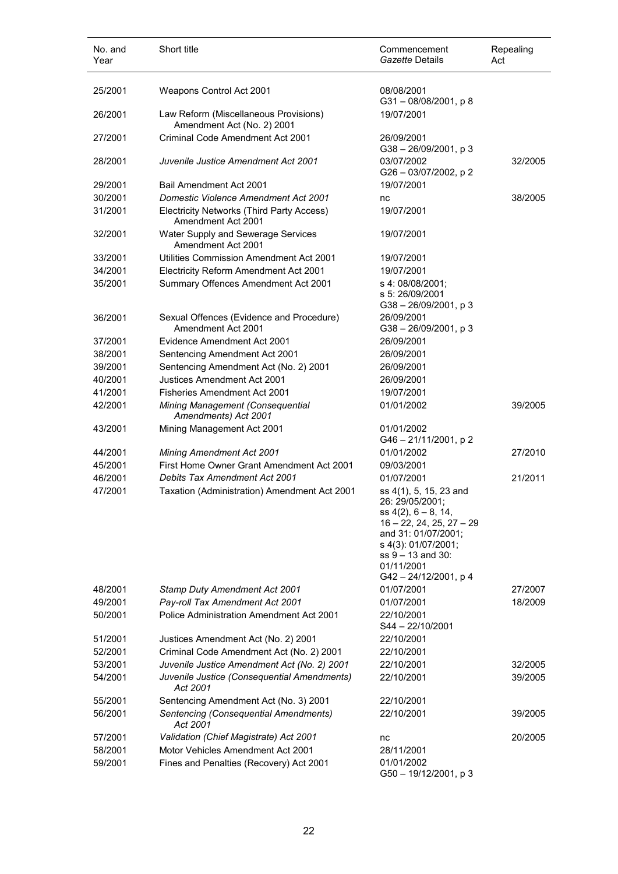| No. and<br>Year | Short title                                                         | Commencement<br>Gazette Details                                                                                                                                                                       | Repealing<br>Act |
|-----------------|---------------------------------------------------------------------|-------------------------------------------------------------------------------------------------------------------------------------------------------------------------------------------------------|------------------|
| 25/2001         | Weapons Control Act 2001                                            | 08/08/2001<br>$G31 - 08/08/2001$ , p 8                                                                                                                                                                |                  |
| 26/2001         | Law Reform (Miscellaneous Provisions)<br>Amendment Act (No. 2) 2001 | 19/07/2001                                                                                                                                                                                            |                  |
| 27/2001         | Criminal Code Amendment Act 2001                                    | 26/09/2001<br>$G38 - 26/09/2001$ , p 3                                                                                                                                                                |                  |
| 28/2001         | Juvenile Justice Amendment Act 2001                                 | 03/07/2002<br>G26 - 03/07/2002, p 2                                                                                                                                                                   | 32/2005          |
| 29/2001         | Bail Amendment Act 2001                                             | 19/07/2001                                                                                                                                                                                            |                  |
| 30/2001         | <b>Domestic Violence Amendment Act 2001</b>                         | nc                                                                                                                                                                                                    | 38/2005          |
| 31/2001         | Electricity Networks (Third Party Access)<br>Amendment Act 2001     | 19/07/2001                                                                                                                                                                                            |                  |
| 32/2001         | Water Supply and Sewerage Services<br>Amendment Act 2001            | 19/07/2001                                                                                                                                                                                            |                  |
| 33/2001         | Utilities Commission Amendment Act 2001                             | 19/07/2001                                                                                                                                                                                            |                  |
| 34/2001         | Electricity Reform Amendment Act 2001                               | 19/07/2001                                                                                                                                                                                            |                  |
| 35/2001         | Summary Offences Amendment Act 2001                                 | s 4: 08/08/2001;<br>s 5: 26/09/2001<br>$G38 - 26/09/2001$ , p 3                                                                                                                                       |                  |
| 36/2001         | Sexual Offences (Evidence and Procedure)<br>Amendment Act 2001      | 26/09/2001<br>$G38 - 26/09/2001$ , p 3                                                                                                                                                                |                  |
| 37/2001         | Evidence Amendment Act 2001                                         | 26/09/2001                                                                                                                                                                                            |                  |
| 38/2001         | Sentencing Amendment Act 2001                                       | 26/09/2001                                                                                                                                                                                            |                  |
| 39/2001         | Sentencing Amendment Act (No. 2) 2001                               | 26/09/2001                                                                                                                                                                                            |                  |
| 40/2001         | Justices Amendment Act 2001                                         | 26/09/2001                                                                                                                                                                                            |                  |
| 41/2001         | <b>Fisheries Amendment Act 2001</b>                                 | 19/07/2001                                                                                                                                                                                            |                  |
| 42/2001         | Mining Management (Consequential<br>Amendments) Act 2001            | 01/01/2002                                                                                                                                                                                            | 39/2005          |
| 43/2001         | Mining Management Act 2001                                          | 01/01/2002<br>G46-21/11/2001, p2                                                                                                                                                                      |                  |
| 44/2001         | <b>Mining Amendment Act 2001</b>                                    | 01/01/2002                                                                                                                                                                                            | 27/2010          |
| 45/2001         | First Home Owner Grant Amendment Act 2001                           | 09/03/2001                                                                                                                                                                                            |                  |
| 46/2001         | <b>Debits Tax Amendment Act 2001</b>                                | 01/07/2001                                                                                                                                                                                            | 21/2011          |
| 47/2001         | Taxation (Administration) Amendment Act 2001                        | ss 4(1), 5, 15, 23 and<br>26: 29/05/2001;<br>$ss 4(2), 6-8, 14,$<br>$16 - 22, 24, 25, 27 - 29$<br>and 31: 01/07/2001;<br>s 4(3): 01/07/2001;<br>ss 9 - 13 and 30:<br>01/11/2001<br>G42-24/12/2001, p4 |                  |
| 48/2001         | <b>Stamp Duty Amendment Act 2001</b>                                | 01/07/2001                                                                                                                                                                                            | 27/2007          |
| 49/2001         | Pay-roll Tax Amendment Act 2001                                     | 01/07/2001                                                                                                                                                                                            | 18/2009          |
| 50/2001         | Police Administration Amendment Act 2001                            | 22/10/2001<br>$S44 - 22/10/2001$                                                                                                                                                                      |                  |
| 51/2001         | Justices Amendment Act (No. 2) 2001                                 | 22/10/2001                                                                                                                                                                                            |                  |
| 52/2001         | Criminal Code Amendment Act (No. 2) 2001                            | 22/10/2001                                                                                                                                                                                            |                  |
| 53/2001         | Juvenile Justice Amendment Act (No. 2) 2001                         | 22/10/2001                                                                                                                                                                                            | 32/2005          |
| 54/2001         | Juvenile Justice (Consequential Amendments)<br>Act 2001             | 22/10/2001                                                                                                                                                                                            | 39/2005          |
| 55/2001         | Sentencing Amendment Act (No. 3) 2001                               | 22/10/2001                                                                                                                                                                                            |                  |
| 56/2001         | Sentencing (Consequential Amendments)<br>Act 2001                   | 22/10/2001                                                                                                                                                                                            | 39/2005          |
| 57/2001         | Validation (Chief Magistrate) Act 2001                              | nc                                                                                                                                                                                                    | 20/2005          |
| 58/2001         | Motor Vehicles Amendment Act 2001                                   | 28/11/2001                                                                                                                                                                                            |                  |
| 59/2001         | Fines and Penalties (Recovery) Act 2001                             | 01/01/2002<br>G50 - 19/12/2001, p 3                                                                                                                                                                   |                  |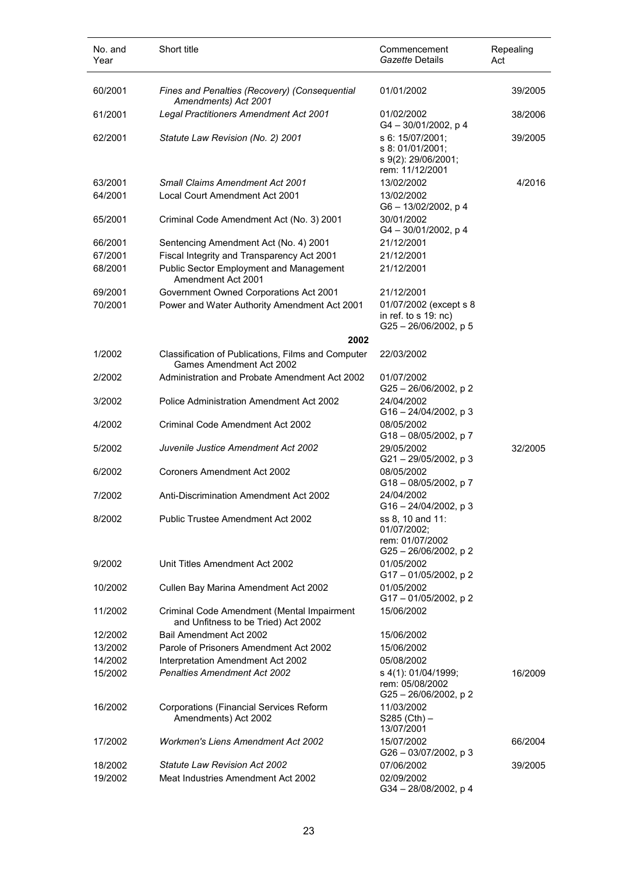| No. and<br>Year    | Short title                                                                            | Commencement<br><i>Gazette</i> Details                                                | Repealing<br>Act |
|--------------------|----------------------------------------------------------------------------------------|---------------------------------------------------------------------------------------|------------------|
| 60/2001            | Fines and Penalties (Recovery) (Consequential<br>Amendments) Act 2001                  | 01/01/2002                                                                            | 39/2005          |
| 61/2001            | Legal Practitioners Amendment Act 2001                                                 | 01/02/2002<br>G4-30/01/2002, p4                                                       | 38/2006          |
| 62/2001            | Statute Law Revision (No. 2) 2001                                                      | s 6: 15/07/2001;<br>s 8: 01/01/2001;<br>s 9(2): 29/06/2001;<br>rem: 11/12/2001        | 39/2005          |
| 63/2001            | <b>Small Claims Amendment Act 2001</b>                                                 | 13/02/2002                                                                            | 4/2016           |
| 64/2001            | Local Court Amendment Act 2001                                                         | 13/02/2002<br>G6-13/02/2002, p 4                                                      |                  |
| 65/2001            | Criminal Code Amendment Act (No. 3) 2001                                               | 30/01/2002<br>G4-30/01/2002, p4                                                       |                  |
| 66/2001            | Sentencing Amendment Act (No. 4) 2001                                                  | 21/12/2001                                                                            |                  |
| 67/2001            | Fiscal Integrity and Transparency Act 2001                                             | 21/12/2001                                                                            |                  |
| 68/2001            | <b>Public Sector Employment and Management</b><br>Amendment Act 2001                   | 21/12/2001                                                                            |                  |
| 69/2001<br>70/2001 | Government Owned Corporations Act 2001<br>Power and Water Authority Amendment Act 2001 | 21/12/2001<br>01/07/2002 (except s 8<br>in ref. to $s$ 19: nc)<br>G25-26/06/2002, p 5 |                  |
|                    | 2002                                                                                   |                                                                                       |                  |
| 1/2002             | Classification of Publications, Films and Computer<br>Games Amendment Act 2002         | 22/03/2002                                                                            |                  |
| 2/2002             | Administration and Probate Amendment Act 2002                                          | 01/07/2002<br>G25-26/06/2002, p2                                                      |                  |
| 3/2002             | Police Administration Amendment Act 2002                                               | 24/04/2002<br>G16-24/04/2002, p 3                                                     |                  |
| 4/2002             | Criminal Code Amendment Act 2002                                                       | 08/05/2002<br>$G18 - 08/05/2002$ , p 7                                                |                  |
| 5/2002             | Juvenile Justice Amendment Act 2002                                                    | 29/05/2002<br>G21-29/05/2002, p 3                                                     | 32/2005          |
| 6/2002             | Coroners Amendment Act 2002                                                            | 08/05/2002<br>G18-08/05/2002, p7                                                      |                  |
| 7/2002             | Anti-Discrimination Amendment Act 2002                                                 | 24/04/2002<br>G16-24/04/2002, p 3                                                     |                  |
| 8/2002             | Public Trustee Amendment Act 2002                                                      | ss 8, 10 and 11:<br>01/07/2002;<br>rem: 01/07/2002<br>G25-26/06/2002, p2              |                  |
| 9/2002             | Unit Titles Amendment Act 2002                                                         | 01/05/2002<br>G17-01/05/2002, p2                                                      |                  |
| 10/2002            | Cullen Bay Marina Amendment Act 2002                                                   | 01/05/2002<br>G17-01/05/2002, p2                                                      |                  |
| 11/2002            | Criminal Code Amendment (Mental Impairment<br>and Unfitness to be Tried) Act 2002      | 15/06/2002                                                                            |                  |
| 12/2002            | Bail Amendment Act 2002                                                                | 15/06/2002                                                                            |                  |
| 13/2002            | Parole of Prisoners Amendment Act 2002                                                 | 15/06/2002                                                                            |                  |
| 14/2002            | Interpretation Amendment Act 2002                                                      | 05/08/2002                                                                            |                  |
| 15/2002            | <b>Penalties Amendment Act 2002</b>                                                    | s 4(1): 01/04/1999;<br>rem: 05/08/2002<br>G25 - 26/06/2002, p 2                       | 16/2009          |
| 16/2002            | <b>Corporations (Financial Services Reform</b><br>Amendments) Act 2002                 | 11/03/2002<br>$S285$ (Cth) –<br>13/07/2001                                            |                  |
| 17/2002            | <b>Workmen's Liens Amendment Act 2002</b>                                              | 15/07/2002<br>G26 - 03/07/2002, p 3                                                   | 66/2004          |
| 18/2002            | <b>Statute Law Revision Act 2002</b>                                                   | 07/06/2002                                                                            | 39/2005          |
| 19/2002            | Meat Industries Amendment Act 2002                                                     | 02/09/2002<br>G34-28/08/2002, p4                                                      |                  |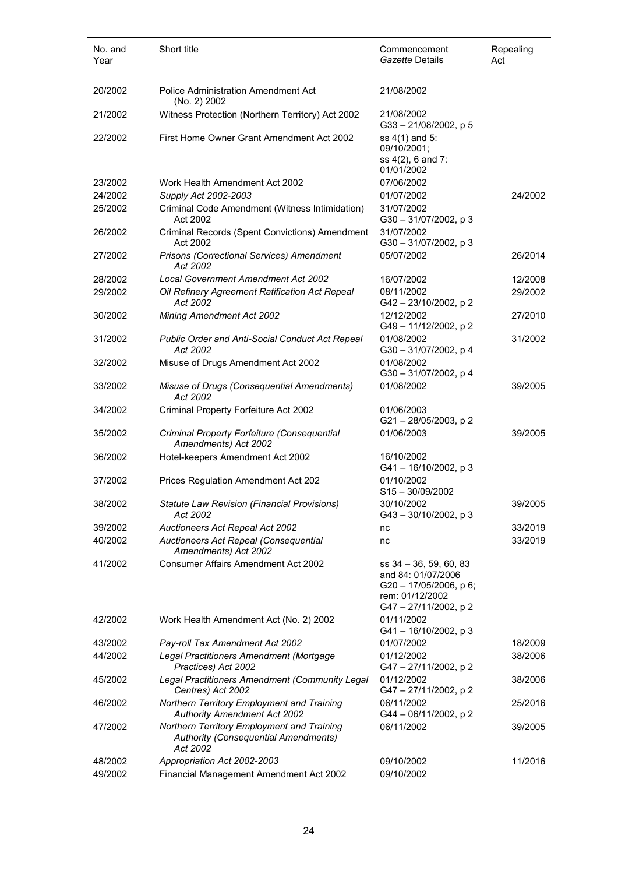| 20/2002<br><b>Police Administration Amendment Act</b><br>21/08/2002<br>(No. 2) 2002<br>Witness Protection (Northern Territory) Act 2002<br>21/08/2002<br>21/2002<br>$G33 - 21/08/2002$ , p 5<br>First Home Owner Grant Amendment Act 2002<br>ss 4(1) and 5:<br>22/2002<br>09/10/2001;<br>ss 4(2), 6 and 7:<br>01/01/2002<br>07/06/2002<br>23/2002<br>Work Health Amendment Act 2002<br>24/2002<br>Supply Act 2002-2003<br>01/07/2002<br>24/2002<br>25/2002<br>31/07/2002<br>Criminal Code Amendment (Witness Intimidation)<br>Act 2002<br>G30-31/07/2002, p3<br>Criminal Records (Spent Convictions) Amendment<br>31/07/2002<br>26/2002 |  |
|-----------------------------------------------------------------------------------------------------------------------------------------------------------------------------------------------------------------------------------------------------------------------------------------------------------------------------------------------------------------------------------------------------------------------------------------------------------------------------------------------------------------------------------------------------------------------------------------------------------------------------------------|--|
|                                                                                                                                                                                                                                                                                                                                                                                                                                                                                                                                                                                                                                         |  |
|                                                                                                                                                                                                                                                                                                                                                                                                                                                                                                                                                                                                                                         |  |
|                                                                                                                                                                                                                                                                                                                                                                                                                                                                                                                                                                                                                                         |  |
|                                                                                                                                                                                                                                                                                                                                                                                                                                                                                                                                                                                                                                         |  |
|                                                                                                                                                                                                                                                                                                                                                                                                                                                                                                                                                                                                                                         |  |
|                                                                                                                                                                                                                                                                                                                                                                                                                                                                                                                                                                                                                                         |  |
| Act 2002<br>G30-31/07/2002, p3                                                                                                                                                                                                                                                                                                                                                                                                                                                                                                                                                                                                          |  |
| Prisons (Correctional Services) Amendment<br>27/2002<br>05/07/2002<br>26/2014<br>Act 2002                                                                                                                                                                                                                                                                                                                                                                                                                                                                                                                                               |  |
| 28/2002<br>Local Government Amendment Act 2002<br>16/07/2002<br>12/2008                                                                                                                                                                                                                                                                                                                                                                                                                                                                                                                                                                 |  |
| 29/2002<br>Oil Refinery Agreement Ratification Act Repeal<br>08/11/2002<br>29/2002<br>Act 2002<br>G42-23/10/2002, p2                                                                                                                                                                                                                                                                                                                                                                                                                                                                                                                    |  |
| Mining Amendment Act 2002<br>12/12/2002<br>30/2002<br>27/2010<br>G49 - 11/12/2002, p 2                                                                                                                                                                                                                                                                                                                                                                                                                                                                                                                                                  |  |
| 01/08/2002<br>31/2002<br>Public Order and Anti-Social Conduct Act Repeal<br>31/2002<br>Act 2002<br>G30-31/07/2002, p 4                                                                                                                                                                                                                                                                                                                                                                                                                                                                                                                  |  |
| Misuse of Drugs Amendment Act 2002<br>01/08/2002<br>32/2002<br>G30-31/07/2002, p 4                                                                                                                                                                                                                                                                                                                                                                                                                                                                                                                                                      |  |
| 01/08/2002<br>39/2005<br>33/2002<br>Misuse of Drugs (Consequential Amendments)<br>Act 2002                                                                                                                                                                                                                                                                                                                                                                                                                                                                                                                                              |  |
| 34/2002<br>Criminal Property Forfeiture Act 2002<br>01/06/2003<br>G21-28/05/2003, p2                                                                                                                                                                                                                                                                                                                                                                                                                                                                                                                                                    |  |
| Criminal Property Forfeiture (Consequential<br>01/06/2003<br>39/2005<br>35/2002<br>Amendments) Act 2002                                                                                                                                                                                                                                                                                                                                                                                                                                                                                                                                 |  |
| Hotel-keepers Amendment Act 2002<br>36/2002<br>16/10/2002<br>G41-16/10/2002, p 3                                                                                                                                                                                                                                                                                                                                                                                                                                                                                                                                                        |  |
| 01/10/2002<br>37/2002<br>Prices Regulation Amendment Act 202<br>$S15 - 30/09/2002$                                                                                                                                                                                                                                                                                                                                                                                                                                                                                                                                                      |  |
| 30/10/2002<br>38/2002<br>39/2005<br><b>Statute Law Revision (Financial Provisions)</b><br>Act 2002<br>G43-30/10/2002, p3                                                                                                                                                                                                                                                                                                                                                                                                                                                                                                                |  |
| Auctioneers Act Repeal Act 2002<br>33/2019<br>39/2002<br>nc                                                                                                                                                                                                                                                                                                                                                                                                                                                                                                                                                                             |  |
| 40/2002<br>33/2019<br>Auctioneers Act Repeal (Consequential<br>nc<br>Amendments) Act 2002                                                                                                                                                                                                                                                                                                                                                                                                                                                                                                                                               |  |
| <b>Consumer Affairs Amendment Act 2002</b><br>41/2002<br>$ss$ 34 $-$ 36, 59, 60, 83<br>and 84: 01/07/2006<br>G20 - 17/05/2006, p 6;<br>rem: 01/12/2002<br>G47-27/11/2002, p2                                                                                                                                                                                                                                                                                                                                                                                                                                                            |  |
| 01/11/2002<br>42/2002<br>Work Health Amendment Act (No. 2) 2002<br>G41-16/10/2002, p 3                                                                                                                                                                                                                                                                                                                                                                                                                                                                                                                                                  |  |
| Pay-roll Tax Amendment Act 2002<br>01/07/2002<br>18/2009<br>43/2002                                                                                                                                                                                                                                                                                                                                                                                                                                                                                                                                                                     |  |
| 01/12/2002<br>44/2002<br>Legal Practitioners Amendment (Mortgage<br>38/2006<br>Practices) Act 2002<br>G47-27/11/2002, p2                                                                                                                                                                                                                                                                                                                                                                                                                                                                                                                |  |
| Legal Practitioners Amendment (Community Legal<br>01/12/2002<br>45/2002<br>38/2006<br>Centres) Act 2002<br>G47-27/11/2002, p2                                                                                                                                                                                                                                                                                                                                                                                                                                                                                                           |  |
| Northern Territory Employment and Training<br>06/11/2002<br>46/2002<br>25/2016<br><b>Authority Amendment Act 2002</b><br>G44 - 06/11/2002, p 2                                                                                                                                                                                                                                                                                                                                                                                                                                                                                          |  |
| Northern Territory Employment and Training<br>06/11/2002<br>47/2002<br>39/2005<br><b>Authority (Consequential Amendments)</b><br>Act 2002                                                                                                                                                                                                                                                                                                                                                                                                                                                                                               |  |
| Appropriation Act 2002-2003<br>09/10/2002<br>11/2016<br>48/2002<br>Financial Management Amendment Act 2002<br>09/10/2002<br>49/2002                                                                                                                                                                                                                                                                                                                                                                                                                                                                                                     |  |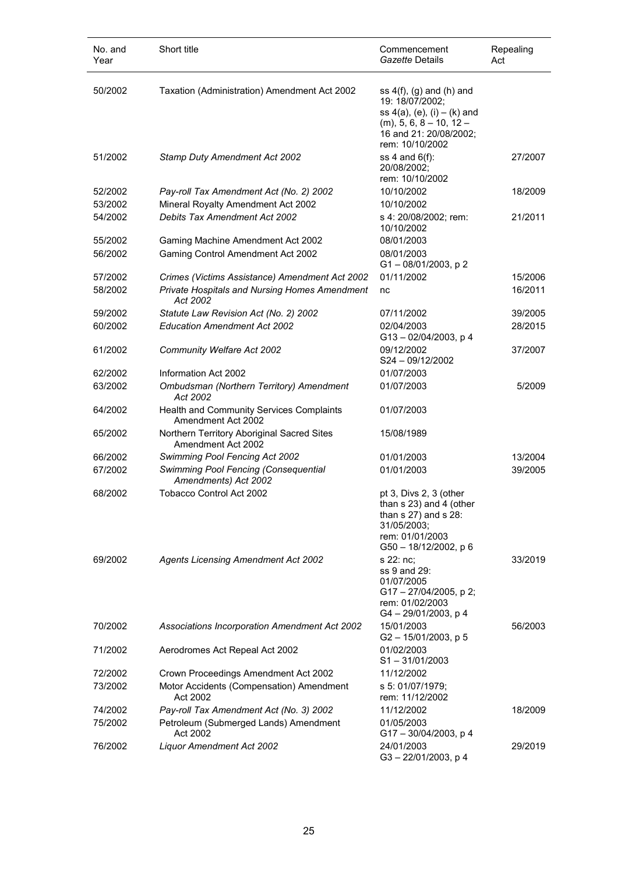| No. and<br>Year | Short title                                                      | Commencement<br>Gazette Details                                                                                                                                  | Repealing<br>Act |
|-----------------|------------------------------------------------------------------|------------------------------------------------------------------------------------------------------------------------------------------------------------------|------------------|
| 50/2002         | Taxation (Administration) Amendment Act 2002                     | ss $4(f)$ , (g) and (h) and<br>19: 18/07/2002;<br>ss $4(a)$ , $(e)$ , $(i) - (k)$ and<br>$(m)$ , 5, 6, 8 - 10, 12 -<br>16 and 21: 20/08/2002;<br>rem: 10/10/2002 |                  |
| 51/2002         | <b>Stamp Duty Amendment Act 2002</b>                             | ss $4$ and $6(f)$ :<br>20/08/2002;<br>rem: 10/10/2002                                                                                                            | 27/2007          |
| 52/2002         | Pay-roll Tax Amendment Act (No. 2) 2002                          | 10/10/2002                                                                                                                                                       | 18/2009          |
| 53/2002         | Mineral Royalty Amendment Act 2002                               | 10/10/2002                                                                                                                                                       |                  |
| 54/2002         | Debits Tax Amendment Act 2002                                    | s 4: 20/08/2002; rem:<br>10/10/2002                                                                                                                              | 21/2011          |
| 55/2002         | Gaming Machine Amendment Act 2002                                | 08/01/2003                                                                                                                                                       |                  |
| 56/2002         | <b>Gaming Control Amendment Act 2002</b>                         | 08/01/2003<br>G1-08/01/2003, p2                                                                                                                                  |                  |
| 57/2002         | Crimes (Victims Assistance) Amendment Act 2002                   | 01/11/2002                                                                                                                                                       | 15/2006          |
| 58/2002         | Private Hospitals and Nursing Homes Amendment<br>Act 2002        | nc                                                                                                                                                               | 16/2011          |
| 59/2002         | Statute Law Revision Act (No. 2) 2002                            | 07/11/2002                                                                                                                                                       | 39/2005          |
| 60/2002         | <b>Education Amendment Act 2002</b>                              | 02/04/2003<br>$G13 - 02/04/2003$ , p 4                                                                                                                           | 28/2015          |
| 61/2002         | Community Welfare Act 2002                                       | 09/12/2002<br>S24-09/12/2002                                                                                                                                     | 37/2007          |
| 62/2002         | Information Act 2002                                             | 01/07/2003                                                                                                                                                       |                  |
| 63/2002         | Ombudsman (Northern Territory) Amendment<br>Act 2002             | 01/07/2003                                                                                                                                                       | 5/2009           |
| 64/2002         | Health and Community Services Complaints<br>Amendment Act 2002   | 01/07/2003                                                                                                                                                       |                  |
| 65/2002         | Northern Territory Aboriginal Sacred Sites<br>Amendment Act 2002 | 15/08/1989                                                                                                                                                       |                  |
| 66/2002         | Swimming Pool Fencing Act 2002                                   | 01/01/2003                                                                                                                                                       | 13/2004          |
| 67/2002         | Swimming Pool Fencing (Consequential<br>Amendments) Act 2002     | 01/01/2003                                                                                                                                                       | 39/2005          |
| 68/2002         | <b>Tobacco Control Act 2002</b>                                  | pt 3, Divs 2, 3 (other<br>than s 23) and 4 (other<br>than $s$ 27) and $s$ 28:<br>31/05/2003;<br>rem: 01/01/2003<br>$G50 - 18/12/2002$ , p 6                      |                  |
| 69/2002         | <b>Agents Licensing Amendment Act 2002</b>                       | s 22: nc:<br>ss 9 and 29:<br>01/07/2005<br>G17-27/04/2005, p2;<br>rem: 01/02/2003<br>G4-29/01/2003, p4                                                           | 33/2019          |
| 70/2002         | Associations Incorporation Amendment Act 2002                    | 15/01/2003<br>G2-15/01/2003, p 5                                                                                                                                 | 56/2003          |
| 71/2002         | Aerodromes Act Repeal Act 2002                                   | 01/02/2003<br>$S1 - 31/01/2003$                                                                                                                                  |                  |
| 72/2002         | Crown Proceedings Amendment Act 2002                             | 11/12/2002                                                                                                                                                       |                  |
| 73/2002         | Motor Accidents (Compensation) Amendment<br>Act 2002             | s 5: 01/07/1979;<br>rem: 11/12/2002                                                                                                                              |                  |
| 74/2002         | Pay-roll Tax Amendment Act (No. 3) 2002                          | 11/12/2002                                                                                                                                                       | 18/2009          |
| 75/2002         | Petroleum (Submerged Lands) Amendment<br>Act 2002                | 01/05/2003<br>$G17 - 30/04/2003$ , p 4                                                                                                                           |                  |
| 76/2002         | Liquor Amendment Act 2002                                        | 24/01/2003<br>G3-22/01/2003, p4                                                                                                                                  | 29/2019          |